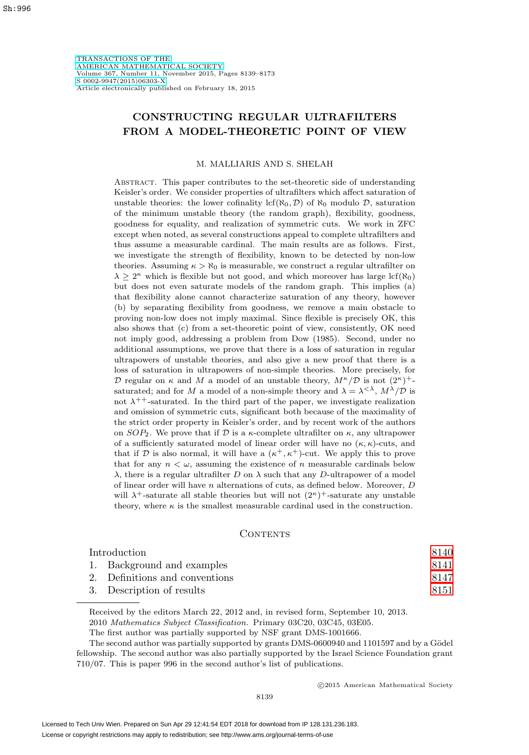[TRANSACTIONS OF THE](http://www.ams.org/tran/) [AMERICAN MATHEMATICAL SOCIETY](http://www.ams.org/tran/) Volume 367, Number 11, November 2015, Pages 8139–8173 [S 0002-9947\(2015\)06303-X](http://www.ams.org/jourcgi/jour-getitem?pii=S0002-9947-2015-06303-X) Article electronically published on February 18, 2015

# **CONSTRUCTING REGULAR ULTRAFILTERS FROM A MODEL-THEORETIC POINT OF VIEW**

#### M. MALLIARIS AND S. SHELAH

Abstract. This paper contributes to the set-theoretic side of understanding Keisler's order. We consider properties of ultrafilters which affect saturation of unstable theories: the lower cofinality  $\text{lcf}(\aleph_0, \mathcal{D})$  of  $\aleph_0$  modulo  $\mathcal{D}$ , saturation of the minimum unstable theory (the random graph), flexibility, goodness, goodness for equality, and realization of symmetric cuts. We work in ZFC except when noted, as several constructions appeal to complete ultrafilters and thus assume a measurable cardinal. The main results are as follows. First, we investigate the strength of flexibility, known to be detected by non-low theories. Assuming  $\kappa > \aleph_0$  is measurable, we construct a regular ultrafilter on  $\lambda \geq 2^{\kappa}$  which is flexible but not good, and which moreover has large lcf( $\aleph_0$ ) but does not even saturate models of the random graph. This implies (a) that flexibility alone cannot characterize saturation of any theory, however (b) by separating flexibility from goodness, we remove a main obstacle to proving non-low does not imply maximal. Since flexible is precisely OK, this also shows that (c) from a set-theoretic point of view, consistently, OK need not imply good, addressing a problem from Dow (1985). Second, under no additional assumptions, we prove that there is a loss of saturation in regular ultrapowers of unstable theories, and also give a new proof that there is a loss of saturation in ultrapowers of non-simple theories. More precisely, for D regular on  $\kappa$  and M a model of an unstable theory,  $M^{\kappa}/\mathcal{D}$  is not  $(2^{\kappa})^+$ saturated; and for M a model of a non-simple theory and  $\lambda = \lambda^{\langle \lambda \rangle}, M^{\lambda}/\mathcal{D}$  is not  $\lambda^{++}$ -saturated. In the third part of the paper, we investigate realization and omission of symmetric cuts, significant both because of the maximality of the strict order property in Keisler's order, and by recent work of the authors on  $SOP_2$ . We prove that if D is a  $\kappa$ -complete ultrafilter on  $\kappa$ , any ultrapower of a sufficiently saturated model of linear order will have no  $(\kappa, \kappa)$ -cuts, and that if D is also normal, it will have a  $(\kappa^+, \kappa^+)$ -cut. We apply this to prove that for any  $n < \omega$ , assuming the existence of n measurable cardinals below  $\lambda$ , there is a regular ultrafilter D on  $\lambda$  such that any D-ultrapower of a model of linear order will have  $n$  alternations of cuts, as defined below. Moreover,  $D$ will  $\lambda^+$ -saturate all stable theories but will not  $(2^{\kappa})^+$ -saturate any unstable theory, where  $\kappa$  is the smallest measurable cardinal used in the construction.

## CONTENTS

| Introduction |                                | 8140 |
|--------------|--------------------------------|------|
|              | 1. Background and examples     | 8141 |
|              | 2. Definitions and conventions | 8147 |
|              | 3. Description of results      | 8151 |
|              |                                |      |

Received by the editors March 22, 2012 and, in revised form, September 10, 2013. 2010 Mathematics Subject Classification. Primary 03C20, 03C45, 03E05.

The first author was partially supported by NSF grant DMS-1001666.

The second author was partially supported by grants DMS-0600940 and 1101597 and by a Gödel fellowship. The second author was also partially supported by the Israel Science Foundation grant 710/07. This is paper 996 in the second author's list of publications.

-c 2015 American Mathematical Society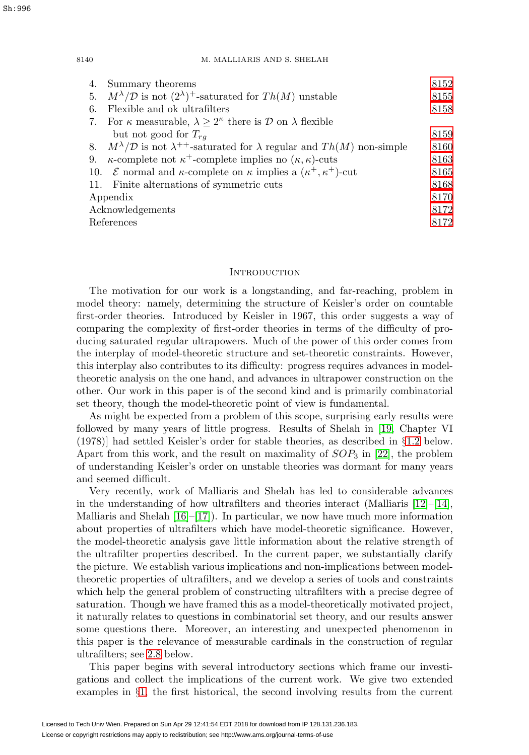|                  | 4. Summary theorems                                                                                        | 8152 |
|------------------|------------------------------------------------------------------------------------------------------------|------|
|                  | 5. $M^{\lambda}/\mathcal{D}$ is not $(2^{\lambda})^+$ -saturated for $Th(M)$ unstable                      | 8155 |
| 6.               | Flexible and ok ultrafilters                                                                               | 8158 |
|                  | 7. For $\kappa$ measurable, $\lambda \geq 2^{\kappa}$ there is $\mathcal{D}$ on $\lambda$ flexible         |      |
|                  | but not good for $T_{ra}$                                                                                  | 8159 |
|                  | 8. $M^{\lambda}/\mathcal{D}$ is not $\lambda^{++}$ -saturated for $\lambda$ regular and $Th(M)$ non-simple | 8160 |
| 9.               | $\kappa$ -complete not $\kappa^+$ -complete implies no $(\kappa, \kappa)$ -cuts                            | 8163 |
|                  | 10. <i>E</i> normal and $\kappa$ -complete on $\kappa$ implies a $(\kappa^+, \kappa^+)$ -cut               | 8165 |
|                  | 11. Finite alternations of symmetric cuts                                                                  | 8168 |
| Appendix         |                                                                                                            | 8170 |
| Acknowledgements |                                                                                                            | 8172 |
| References       |                                                                                                            | 8172 |
|                  |                                                                                                            |      |

## <span id="page-1-0"></span>**INTRODUCTION**

The motivation for our work is a longstanding, and far-reaching, problem in model theory: namely, determining the structure of Keisler's order on countable first-order theories. Introduced by Keisler in 1967, this order suggests a way of comparing the complexity of first-order theories in terms of the difficulty of producing saturated regular ultrapowers. Much of the power of this order comes from the interplay of model-theoretic structure and set-theoretic constraints. However, this interplay also contributes to its difficulty: progress requires advances in modeltheoretic analysis on the one hand, and advances in ultrapower construction on the other. Our work in this paper is of the second kind and is primarily combinatorial set theory, though the model-theoretic point of view is fundamental.

As might be expected from a problem of this scope, surprising early results were followed by many years of little progress. Results of Shelah in [\[19,](#page-34-0) Chapter VI (1978)] had settled Keisler's order for stable theories, as described in §[1.2](#page-5-0) below. Apart from this work, and the result on maximality of  $SOP_3$  in [\[22\]](#page-34-1), the problem of understanding Keisler's order on unstable theories was dormant for many years and seemed difficult.

Very recently, work of Malliaris and Shelah has led to considerable advances in the understanding of how ultrafilters and theories interact (Malliaris  $[12]-[14]$  $[12]-[14]$  $[12]-[14]$ , Malliaris and Shelah  $[16]$ – $[17]$ ). In particular, we now have much more information about properties of ultrafilters which have model-theoretic significance. However, the model-theoretic analysis gave little information about the relative strength of the ultrafilter properties described. In the current paper, we substantially clarify the picture. We establish various implications and non-implications between modeltheoretic properties of ultrafilters, and we develop a series of tools and constraints which help the general problem of constructing ultrafilters with a precise degree of saturation. Though we have framed this as a model-theoretically motivated project, it naturally relates to questions in combinatorial set theory, and our results answer some questions there. Moreover, an interesting and unexpected phenomenon in this paper is the relevance of measurable cardinals in the construction of regular ultrafilters; see [2.8](#page-10-0) below.

This paper begins with several introductory sections which frame our investigations and collect the implications of the current work. We give two extended examples in §[1,](#page-2-0) the first historical, the second involving results from the current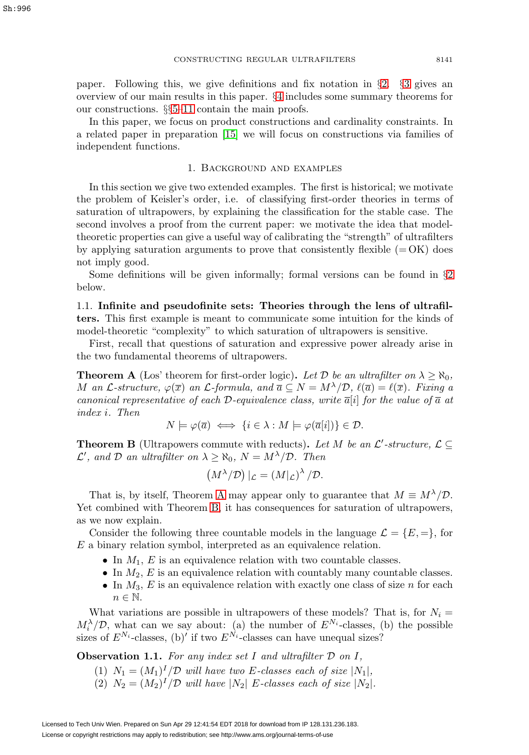paper. Following this, we give definitions and fix notation in §[2.](#page-8-0) §[3](#page-12-0) gives an overview of our main results in this paper. §[4](#page-13-0) includes some summary theorems for our constructions. §§[5](#page-16-0)[–11](#page-29-0) contain the main proofs.

In this paper, we focus on product constructions and cardinality constraints. In a related paper in preparation [\[15\]](#page-34-4) we will focus on constructions via families of independent functions.

## 1. Background and examples

<span id="page-2-0"></span>In this section we give two extended examples. The first is historical; we motivate the problem of Keisler's order, i.e. of classifying first-order theories in terms of saturation of ultrapowers, by explaining the classification for the stable case. The second involves a proof from the current paper: we motivate the idea that modeltheoretic properties can give a useful way of calibrating the "strength" of ultrafilters by applying saturation arguments to prove that consistently flexible  $(=OK)$  does not imply good.

Some definitions will be given informally; formal versions can be found in §[2](#page-8-0) below.

<span id="page-2-3"></span>1.1. **Infinite and pseudofinite sets: Theories through the lens of ultrafilters.** This first example is meant to communicate some intuition for the kinds of model-theoretic "complexity" to which saturation of ultrapowers is sensitive.

First, recall that questions of saturation and expressive power already arise in the two fundamental theorems of ultrapowers.

<span id="page-2-1"></span>**Theorem A** (Los' theorem for first-order logic). Let D be an ultrafilter on  $\lambda \geq \aleph_0$ , M an L-structure,  $\varphi(\overline{x})$  an L-formula, and  $\overline{a} \subseteq N = M^{\lambda}/\mathcal{D}$ ,  $\ell(\overline{a}) = \ell(\overline{x})$ . Fixing a canonical representative of each D-equivalence class, write  $\overline{a}[i]$  for the value of  $\overline{a}$  at index i. Then

$$
N \models \varphi(\overline{a}) \iff \{ i \in \lambda : M \models \varphi(\overline{a}[i]) \} \in \mathcal{D}.
$$

<span id="page-2-2"></span>**Theorem B** (Ultrapowers commute with reducts). Let M be an  $\mathcal{L}'$ -structure,  $\mathcal{L} \subseteq$  $\mathcal{L}'$ , and  $\mathcal D$  an ultrafilter on  $\lambda \geq \aleph_0$ ,  $N = M^{\lambda}/\mathcal{D}$ . Then

$$
(M^{\lambda}/\mathcal{D})|_{\mathcal{L}} = (M|_{\mathcal{L}})^{\lambda}/\mathcal{D}.
$$

That is, by itself, Theorem [A](#page-2-1) may appear only to guarantee that  $M \equiv M^{\lambda}/\mathcal{D}$ . Yet combined with Theorem [B,](#page-2-2) it has consequences for saturation of ultrapowers, as we now explain.

Consider the following three countable models in the language  $\mathcal{L} = \{E, =\},\$  for E a binary relation symbol, interpreted as an equivalence relation.

- In  $M_1$ , E is an equivalence relation with two countable classes.
- In  $M_2$ , E is an equivalence relation with countably many countable classes.
- In  $M_3$ , E is an equivalence relation with exactly one class of size n for each  $n \in \mathbb{N}$ .

What variations are possible in ultrapowers of these models? That is, for  $N_i =$  $M_i^{\lambda}/\mathcal{D}$ , what can we say about: (a) the number of  $E^{N_i}$ -classes, (b) the possible sizes of  $E^{N_i}$ -classes, (b)' if two  $E^{N_i}$ -classes can have unequal sizes?

**Observation 1.1.** For any index set I and ultrafilter  $D$  on I,

- (1)  $N_1 = (M_1)^I / \mathcal{D}$  will have two E-classes each of size  $|N_1|$ ,
- (2)  $N_2 = (M_2)^I / \mathcal{D}$  will have  $|N_2|$  E-classes each of size  $|N_2|$ .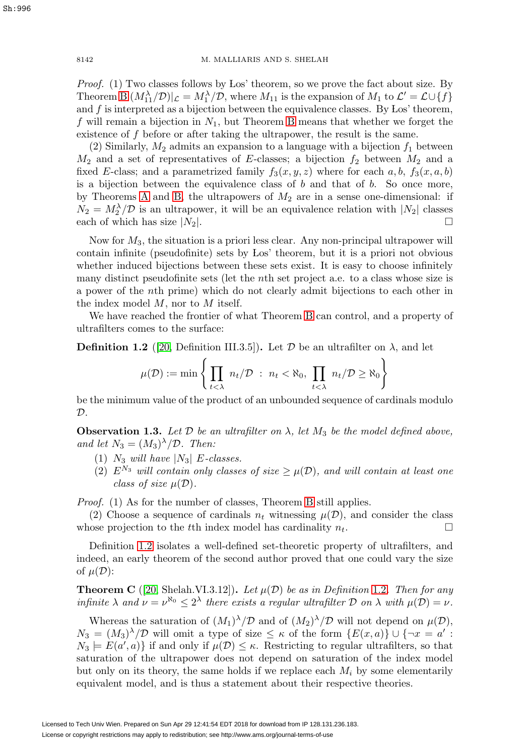Proof. (1) Two classes follows by Los' theorem, so we prove the fact about size. By Theorem [B](#page-2-2)  $(M_{11}^{\lambda}/\mathcal{D})|_{\mathcal{L}} = M_1^{\lambda}/\mathcal{D}$ , where  $M_{11}$  is the expansion of  $M_1$  to  $\mathcal{L}' = \mathcal{L} \cup \{f\}$ and  $f$  is interpreted as a bijection between the equivalence classes. By Los' theorem, f will remain a bijection in  $N_1$ , but Theorem [B](#page-2-2) means that whether we forget the existence of f before or after taking the ultrapower, the result is the same.

(2) Similarly,  $M_2$  admits an expansion to a language with a bijection  $f_1$  between  $M_2$  and a set of representatives of E-classes; a bijection  $f_2$  between  $M_2$  and a fixed E-class; and a parametrized family  $f_3(x, y, z)$  where for each  $a, b, f_3(x, a, b)$ is a bijection between the equivalence class of  $b$  and that of  $b$ . So once more, by Theorems [A](#page-2-1) and [B,](#page-2-2) the ultrapowers of  $M_2$  are in a sense one-dimensional: if  $N_2 = M_2^{\lambda}/\mathcal{D}$  is an ultrapower, it will be an equivalence relation with  $|N_2|$  classes each of which has size  $|N_2|$ .

Now for  $M_3$ , the situation is a priori less clear. Any non-principal ultrapower will contain infinite (pseudofinite) sets by Los' theorem, but it is a priori not obvious whether induced bijections between these sets exist. It is easy to choose infinitely many distinct pseudofinite sets (let the nth set project a.e. to a class whose size is a power of the nth prime) which do not clearly admit bijections to each other in the index model  $M$ , nor to  $M$  itself.

We have reached the frontier of what Theorem [B](#page-2-2) can control, and a property of ultrafilters comes to the surface:

<span id="page-3-0"></span>**Definition 1.2** ([\[20,](#page-34-5) Definition III.3.5]). Let  $\mathcal{D}$  be an ultrafilter on  $\lambda$ , and let

$$
\mu(\mathcal{D}) := \min \left\{ \prod_{t < \lambda} n_t / \mathcal{D} \; : \; n_t < \aleph_0, \; \prod_{t < \lambda} n_t / \mathcal{D} \geq \aleph_0 \right\}
$$

be the minimum value of the product of an unbounded sequence of cardinals modulo  $\mathcal{D}$ .

**Observation 1.3.** Let  $\mathcal{D}$  be an ultrafilter on  $\lambda$ , let  $M_3$  be the model defined above, and let  $N_3 = (M_3)^{\lambda}/\mathcal{D}$ . Then:

- (1)  $N_3$  will have  $|N_3|$  E-classes.
- (2)  $E^{N_3}$  will contain only classes of size  $\geq \mu(\mathcal{D})$ , and will contain at least one class of size  $\mu(\mathcal{D})$ .

Proof. (1) As for the number of classes, Theorem [B](#page-2-2) still applies.

(2) Choose a sequence of cardinals  $n_t$  witnessing  $\mu(\mathcal{D})$ , and consider the class whose projection to the t<sup>th</sup> index model has cardinality  $n_t$ .  $\Box$ 

Definition [1.2](#page-3-0) isolates a well-defined set-theoretic property of ultrafilters, and indeed, an early theorem of the second author proved that one could vary the size of  $\mu(\mathcal{D})$ :

**Theorem C** ([\[20,](#page-34-5) Shelah.VI.3.12])**.** Let  $\mu(\mathcal{D})$  be as in Definition [1.2](#page-3-0). Then for any infinite  $\lambda$  and  $\nu = \nu^{\aleph_0} \leq 2^{\lambda}$  there exists a regular ultrafilter  $\mathcal D$  on  $\lambda$  with  $\mu(\mathcal D) = \nu$ .

Whereas the saturation of  $(M_1)^{\lambda}/\mathcal{D}$  and of  $(M_2)^{\lambda}/\mathcal{D}$  will not depend on  $\mu(\mathcal{D})$ ,  $N_3 = (M_3)^{\lambda}/\mathcal{D}$  will omit a type of size  $\leq \kappa$  of the form  $\{E(x,a)\}\cup \{\neg x = a' :$  $N_3 \models E(a', a)$  if and only if  $\mu(\mathcal{D}) \leq \kappa$ . Restricting to regular ultrafilters, so that saturation of the ultrapower does not depend on saturation of the index model but only on its theory, the same holds if we replace each  $M_i$  by some elementarily equivalent model, and is thus a statement about their respective theories.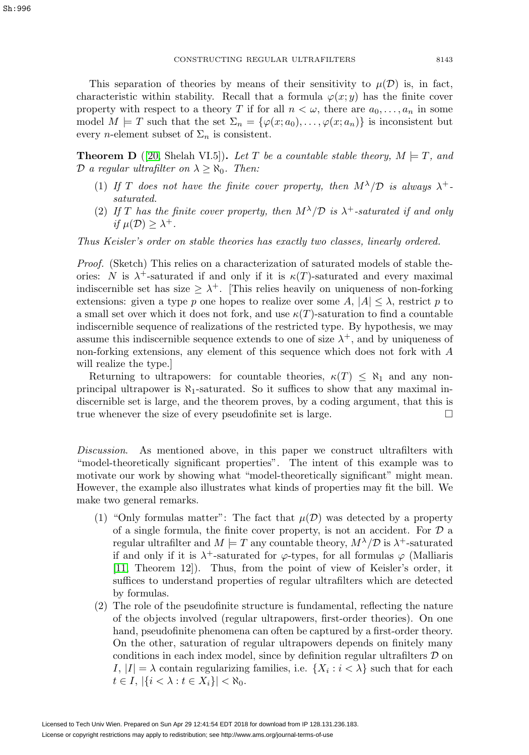This separation of theories by means of their sensitivity to  $\mu(\mathcal{D})$  is, in fact, characteristic within stability. Recall that a formula  $\varphi(x; y)$  has the finite cover property with respect to a theory T if for all  $n < \omega$ , there are  $a_0, \ldots, a_n$  in some model  $M \models T$  such that the set  $\Sigma_n = {\varphi(x;a_0), \ldots, \varphi(x;a_n)}$  is inconsistent but every *n*-element subset of  $\Sigma_n$  is consistent.

<span id="page-4-0"></span>**Theorem D** ([\[20,](#page-34-5) Shelah VI.5]). Let T be a countable stable theory,  $M \models T$ , and D a regular ultrafilter on  $\lambda \geq \aleph_0$ . Then:

- (1) If T does not have the finite cover property, then  $M^{\lambda}/\mathcal{D}$  is always  $\lambda^{+}$ . saturated.
- (2) If T has the finite cover property, then  $M^{\lambda}/\mathcal{D}$  is  $\lambda^{+}$ -saturated if and only if  $\mu(\mathcal{D}) > \lambda^+$ .

Thus Keisler's order on stable theories has exactly two classes, linearly ordered.

Proof. (Sketch) This relies on a characterization of saturated models of stable theories: N is  $\lambda^+$ -saturated if and only if it is  $\kappa(T)$ -saturated and every maximal indiscernible set has size  $\geq \lambda^+$ . [This relies heavily on uniqueness of non-forking extensions: given a type p one hopes to realize over some  $A, |A| \leq \lambda$ , restrict p to a small set over which it does not fork, and use  $\kappa(T)$ -saturation to find a countable indiscernible sequence of realizations of the restricted type. By hypothesis, we may assume this indiscernible sequence extends to one of size  $\lambda^+$ , and by uniqueness of non-forking extensions, any element of this sequence which does not fork with A will realize the type.]

Returning to ultrapowers: for countable theories,  $\kappa(T) \leq \aleph_1$  and any nonprincipal ultrapower is  $\aleph_1$ -saturated. So it suffices to show that any maximal indiscernible set is large, and the theorem proves, by a coding argument, that this is true whenever the size of every pseudofinite set is large.  $\Box$ 

Discussion. As mentioned above, in this paper we construct ultrafilters with "model-theoretically significant properties". The intent of this example was to motivate our work by showing what "model-theoretically significant" might mean. However, the example also illustrates what kinds of properties may fit the bill. We make two general remarks.

- (1) "Only formulas matter": The fact that  $\mu(\mathcal{D})$  was detected by a property of a single formula, the finite cover property, is not an accident. For  $D$  a regular ultrafilter and  $M \models T$  any countable theory,  $M^{\lambda}/\mathcal{D}$  is  $\lambda^{+}$ -saturated if and only if it is  $\lambda^+$ -saturated for  $\varphi$ -types, for all formulas  $\varphi$  (Malliaris [\[11,](#page-33-4) Theorem 12]). Thus, from the point of view of Keisler's order, it suffices to understand properties of regular ultrafilters which are detected by formulas.
- (2) The role of the pseudofinite structure is fundamental, reflecting the nature of the objects involved (regular ultrapowers, first-order theories). On one hand, pseudofinite phenomena can often be captured by a first-order theory. On the other, saturation of regular ultrapowers depends on finitely many conditions in each index model, since by definition regular ultrafilters  $D$  on I,  $|I| = \lambda$  contain regularizing families, i.e.  $\{X_i : i < \lambda\}$  such that for each  $t \in I, |\{i < \lambda : t \in X_i\}| < \aleph_0.$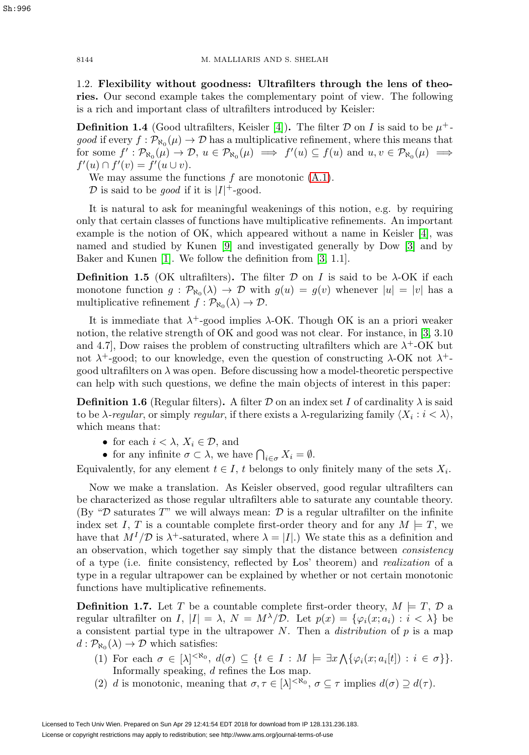1.2. **Flexibility without goodness: Ultrafilters through the lens of theories.** Our second example takes the complementary point of view. The following is a rich and important class of ultrafilters introduced by Keisler:

<span id="page-5-3"></span>**Definition 1.4** (Good ultrafilters, Keisler [\[4\]](#page-33-5)). The filter D on I is said to be  $\mu^+$ good if every  $f : \mathcal{P}_{\aleph_0}(\mu) \to \mathcal{D}$  has a multiplicative refinement, where this means that for some  $f': \mathcal{P}_{\aleph_0}(\mu) \to \mathcal{D}, u \in \mathcal{P}_{\aleph_0}(\mu) \implies f'(u) \subseteq f(u)$  and  $u, v \in \mathcal{P}_{\aleph_0}(\mu) \implies$  $f'(u) \cap f'(v) = f'(u \cup v).$ 

We may assume the functions  $f$  are monotonic  $(A.1)$ .

D is said to be *good* if it is  $|I|$ <sup>+</sup>-good.

It is natural to ask for meaningful weakenings of this notion, e.g. by requiring only that certain classes of functions have multiplicative refinements. An important example is the notion of OK, which appeared without a name in Keisler [\[4\]](#page-33-5), was named and studied by Kunen [\[9\]](#page-33-6) and investigated generally by Dow [\[3\]](#page-33-7) and by Baker and Kunen [\[1\]](#page-33-8). We follow the definition from [\[3,](#page-33-7) 1.1].

**Definition 1.5** (OK ultrafilters). The filter  $\mathcal{D}$  on I is said to be  $\lambda$ -OK if each monotone function  $g : \mathcal{P}_{\aleph_0}(\lambda) \to \mathcal{D}$  with  $g(u) = g(v)$  whenever  $|u| = |v|$  has a multiplicative refinement  $f : \mathcal{P}_{\aleph_0}(\lambda) \to \mathcal{D}$ .

It is immediate that  $\lambda^+$ -good implies  $\lambda$ -OK. Though OK is an a priori weaker notion, the relative strength of OK and good was not clear. For instance, in [\[3,](#page-33-7) 3.10 and 4.7], Dow raises the problem of constructing ultrafilters which are  $\lambda^+$ -OK but not  $\lambda^+$ -good; to our knowledge, even the question of constructing  $\lambda$ -OK not  $\lambda^+$ good ultrafilters on  $\lambda$  was open. Before discussing how a model-theoretic perspective can help with such questions, we define the main objects of interest in this paper:

<span id="page-5-2"></span>**Definition 1.6** (Regular filters). A filter D on an index set I of cardinality  $\lambda$  is said to be  $\lambda$ -regular, or simply regular, if there exists a  $\lambda$ -regularizing family  $\langle X_i : i \langle \lambda \rangle$ , which means that:

- for each  $i < \lambda$ ,  $X_i \in \mathcal{D}$ , and
- for any infinite  $\sigma \subset \lambda$ , we have  $\bigcap_{i \in \sigma} X_i = \emptyset$ .

Equivalently, for any element  $t \in I$ , t belongs to only finitely many of the sets  $X_i$ .

Now we make a translation. As Keisler observed, good regular ultrafilters can be characterized as those regular ultrafilters able to saturate any countable theory. (By " $\mathcal{D}$  saturates T" we will always mean:  $\mathcal{D}$  is a regular ultrafilter on the infinite index set I, T is a countable complete first-order theory and for any  $M \models T$ , we have that  $M^{I}/\mathcal{D}$  is  $\lambda^{+}$ -saturated, where  $\lambda = |I|$ .) We state this as a definition and an observation, which together say simply that the distance between consistency of a type (i.e. finite consistency, reflected by Los' theorem) and realization of a type in a regular ultrapower can be explained by whether or not certain monotonic functions have multiplicative refinements.

<span id="page-5-1"></span>**Definition 1.7.** Let T be a countable complete first-order theory,  $M \models T, D$  a regular ultrafilter on I,  $|I| = \lambda$ ,  $N = M^{\lambda}/\mathcal{D}$ . Let  $p(x) = {\varphi_i(x; a_i) : i < \lambda}$  be a consistent partial type in the ultrapower N. Then a *distribution* of  $p$  is a map  $d : \mathcal{P}_{\aleph_0}(\lambda) \to \mathcal{D}$  which satisfies:

- (1) For each  $\sigma \in [\lambda]^{< \aleph_0}, d(\sigma) \subseteq \{t \in I : M \models \exists x \bigwedge \{\varphi_i(x; a_i[t]) : i \in \sigma\}\}.$ Informally speaking, d refines the Los map.
- (2) d is monotonic, meaning that  $\sigma, \tau \in [\lambda]^{<\aleph_0}$ ,  $\sigma \subseteq \tau$  implies  $d(\sigma) \supseteq d(\tau)$ .

<span id="page-5-0"></span>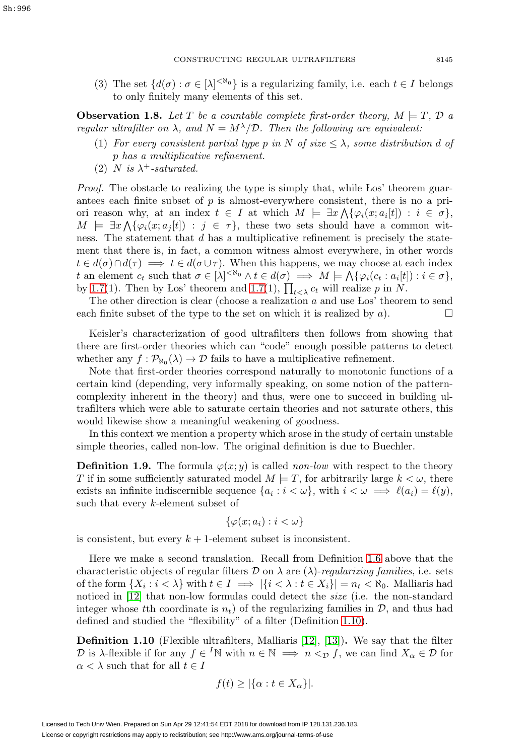(3) The set  $\{d(\sigma): \sigma \in [\lambda]^{< \aleph_0}\}$  is a regularizing family, i.e. each  $t \in I$  belongs to only finitely many elements of this set.

**Observation 1.8.** Let T be a countable complete first-order theory,  $M \models T$ ,  $\mathcal{D}$  a regular ultrafilter on  $\lambda$ , and  $N = M^{\lambda}/\mathcal{D}$ . Then the following are equivalent:

- (1) For every consistent partial type p in N of size  $\leq \lambda$ , some distribution d of p has a multiplicative refinement.
- (2) N is  $\lambda^+$ -saturated.

Proof. The obstacle to realizing the type is simply that, while Los' theorem guarantees each finite subset of  $p$  is almost-everywhere consistent, there is no a priori reason why, at an index  $t \in I$  at which  $M \models \exists x \bigwedge \{\varphi_i(x; a_i[t]) : i \in \sigma\},$  $M \models \exists x \bigwedge \{\varphi_i(x; a_j[t]) : j \in \tau\},\$  these two sets should have a common witness. The statement that d has a multiplicative refinement is precisely the statement that there is, in fact, a common witness almost everywhere, in other words  $t \in d(\sigma) \cap d(\tau) \implies t \in d(\sigma \cup \tau)$ . When this happens, we may choose at each index t an element  $c_t$  such that  $\sigma \in [\lambda]^{< \aleph_0} \wedge t \in d(\sigma) \implies M \models \bigwedge \{\varphi_i(c_t : a_i[t]) : i \in \sigma\},\$ by [1.7\(](#page-5-1)1). Then by Los' theorem and 1.7(1),  $\prod_{t<\lambda} c_t$  will realize p in N.

The other direction is clear (choose a realization  $a$  and use Los' theorem to send each finite subset of the type to the set on which it is realized by a).  $\Box$ 

Keisler's characterization of good ultrafilters then follows from showing that there are first-order theories which can "code" enough possible patterns to detect whether any  $f : \mathcal{P}_{\aleph_0}(\lambda) \to \mathcal{D}$  fails to have a multiplicative refinement.

Note that first-order theories correspond naturally to monotonic functions of a certain kind (depending, very informally speaking, on some notion of the patterncomplexity inherent in the theory) and thus, were one to succeed in building ultrafilters which were able to saturate certain theories and not saturate others, this would likewise show a meaningful weakening of goodness.

In this context we mention a property which arose in the study of certain unstable simple theories, called non-low. The original definition is due to Buechler.

**Definition 1.9.** The formula  $\varphi(x; y)$  is called non-low with respect to the theory T if in some sufficiently saturated model  $M \models T$ , for arbitrarily large  $k < \omega$ , there exists an infinite indiscernible sequence  $\{a_i : i < \omega\}$ , with  $i < \omega \implies \ell(a_i) = \ell(y)$ , such that every k-element subset of

$$
\{\varphi(x;a_i): i < \omega\}
$$

is consistent, but every  $k + 1$ -element subset is inconsistent.

Here we make a second translation. Recall from Definition [1.6](#page-5-2) above that the characteristic objects of regular filters  $\mathcal D$  on  $\lambda$  are  $(\lambda)$ -regularizing families, i.e. sets of the form  $\{X_i : i < \lambda\}$  with  $t \in I \implies |\{i < \lambda : t \in X_i\}| = n_t < \aleph_0$ . Malliaris had noticed in [\[12\]](#page-33-2) that non-low formulas could detect the *size* (i.e. the non-standard integer whose tth coordinate is  $n_t$ ) of the regularizing families in  $\mathcal{D}$ , and thus had defined and studied the "flexibility" of a filter (Definition [1.10\)](#page-6-0).

<span id="page-6-0"></span>**Definition 1.10** (Flexible ultrafilters, Malliaris [\[12\]](#page-33-2), [\[13\]](#page-33-9))**.** We say that the filter D is  $\lambda$ -flexible if for any  $f \in {}^I\mathbb{N}$  with  $n \in \mathbb{N} \implies n <_{\mathcal{D}} f$ , we can find  $X_\alpha \in \mathcal{D}$  for  $\alpha < \lambda$  such that for all  $t \in I$ 

$$
f(t) \ge |\{\alpha : t \in X_{\alpha}\}|.
$$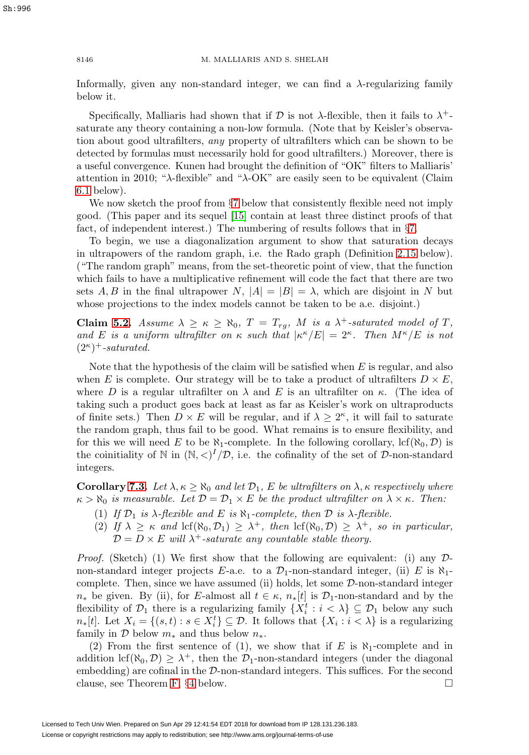Informally, given any non-standard integer, we can find a  $\lambda$ -regularizing family below it.

Specifically, Malliaris had shown that if D is not  $\lambda$ -flexible, then it fails to  $\lambda^+$ saturate any theory containing a non-low formula. (Note that by Keisler's observation about good ultrafilters, any property of ultrafilters which can be shown to be detected by formulas must necessarily hold for good ultrafilters.) Moreover, there is a useful convergence. Kunen had brought the definition of "OK" filters to Malliaris' attention in 2010; " $\lambda$ -flexible" and " $\lambda$ -OK" are easily seen to be equivalent (Claim [6.1](#page-19-1) below).

We now sketch the proof from  $\S7$  $\S7$  below that consistently flexible need not imply good. (This paper and its sequel [\[15\]](#page-34-4) contain at least three distinct proofs of that fact, of independent interest.) The numbering of results follows that in §[7.](#page-20-0)

To begin, we use a diagonalization argument to show that saturation decays in ultrapowers of the random graph, i.e. the Rado graph (Definition [2.15](#page-11-0) below). ("The random graph" means, from the set-theoretic point of view, that the function which fails to have a multiplicative refinement will code the fact that there are two sets A, B in the final ultrapower N,  $|A| = |B| = \lambda$ , which are disjoint in N but whose projections to the index models cannot be taken to be a.e. disjoint.)

**Claim [5.2.](#page-16-1)** Assume  $\lambda \geq \kappa \geq \aleph_0$ ,  $T = T_{rg}$ , M is a  $\lambda^+$ -saturated model of T, and E is a uniform ultrafilter on  $\kappa$  such that  $|\kappa^{\kappa}/E| = 2^{\kappa}$ . Then  $M^{\kappa}/E$  is not  $(2^{\kappa})^+$ -saturated.

Note that the hypothesis of the claim will be satisfied when  $E$  is regular, and also when E is complete. Our strategy will be to take a product of ultrafilters  $D \times E$ , where D is a regular ultrafilter on  $\lambda$  and E is an ultrafilter on  $\kappa$ . (The idea of taking such a product goes back at least as far as Keisler's work on ultraproducts of finite sets.) Then  $D \times E$  will be regular, and if  $\lambda \geq 2^{\kappa}$ , it will fail to saturate the random graph, thus fail to be good. What remains is to ensure flexibility, and for this we will need E to be  $\aleph_1$ -complete. In the following corollary, lcf( $\aleph_0, \mathcal{D}$ ) is the coinitiality of N in  $(N, \langle)^I/D$ , i.e. the cofinality of the set of D-non-standard integers.

**Corollary [7.3.](#page-21-1)** Let  $\lambda, \kappa \ge \aleph_0$  and let  $\mathcal{D}_1$ , E be ultrafilters on  $\lambda, \kappa$  respectively where  $\kappa > \aleph_0$  is measurable. Let  $\mathcal{D} = \mathcal{D}_1 \times E$  be the product ultrafilter on  $\lambda \times \kappa$ . Then:

- (1) If  $\mathcal{D}_1$  is  $\lambda$ -flexible and E is  $\aleph_1$ -complete, then  $\mathcal D$  is  $\lambda$ -flexible.
- (2) If  $\lambda \geq \kappa$  and  $\text{lcf}(\aleph_0, \mathcal{D}_1) \geq \lambda^+$ , then  $\text{lcf}(\aleph_0, \mathcal{D}) \geq \lambda^+$ , so in particular,  $\mathcal{D} = D \times E$  will  $\lambda^+$ -saturate any countable stable theory.

*Proof.* (Sketch) (1) We first show that the following are equivalent: (i) any  $\mathcal{D}$ non-standard integer projects E-a.e. to a  $\mathcal{D}_1$ -non-standard integer, (ii) E is  $\aleph_1$ complete. Then, since we have assumed (ii) holds, let some D-non-standard integer  $n_*$  be given. By (ii), for E-almost all  $t \in \kappa$ ,  $n_*[t]$  is  $\mathcal{D}_1$ -non-standard and by the flexibility of  $\mathcal{D}_1$  there is a regularizing family  $\{X_i^t : i < \lambda\} \subseteq \mathcal{D}_1$  below any such  $n*[t]$ . Let  $X_i = \{(s,t) : s \in X_i^t\} \subseteq \mathcal{D}$ . It follows that  $\{X_i : i < \lambda\}$  is a regularizing family in  $\mathcal D$  below  $m_*$  and thus below  $n_*$ .

(2) From the first sentence of (1), we show that if E is  $\aleph_1$ -complete and in addition  $\text{lcf}(\aleph_0, \mathcal{D}) \geq \lambda^+$ , then the  $\mathcal{D}_1$ -non-standard integers (under the diagonal embedding) are cofinal in the D-non-standard integers. This suffices. For the second clause, see Theorem [F,](#page-13-1)  $\S 4$  $\S 4$  below.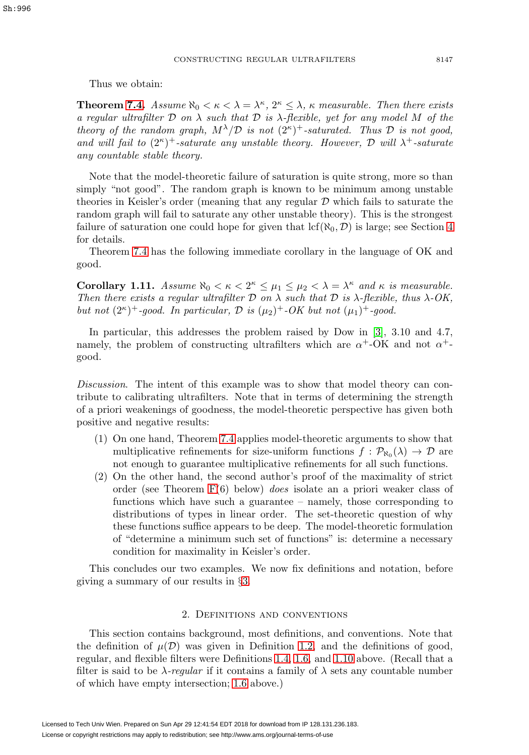Thus we obtain:

**Theorem [7.4.](#page-21-2)** Assume  $\aleph_0 < \kappa < \lambda = \lambda^{\kappa}$ ,  $2^{\kappa} \leq \lambda$ ,  $\kappa$  measurable. Then there exists a regular ultrafilter  $\mathcal D$  on  $\lambda$  such that  $\mathcal D$  is  $\lambda$ -flexible, yet for any model M of the theory of the random graph,  $M^{\lambda}/\mathcal{D}$  is not  $(2^{\kappa})^+$ -saturated. Thus  $\mathcal D$  is not good, and will fail to  $(2^{\kappa})^+$ -saturate any unstable theory. However, D will  $\lambda^+$ -saturate any countable stable theory.

Note that the model-theoretic failure of saturation is quite strong, more so than simply "not good". The random graph is known to be minimum among unstable theories in Keisler's order (meaning that any regular  $D$  which fails to saturate the random graph will fail to saturate any other unstable theory). This is the strongest failure of saturation one could hope for given that  $\text{lcf}(\aleph_0, \mathcal{D})$  is large; see Section [4](#page-13-0) for details.

Theorem [7.4](#page-21-2) has the following immediate corollary in the language of OK and good.

**Corollary 1.11.** Assume  $\aleph_0 < \kappa < 2^{\kappa} \leq \mu_1 \leq \mu_2 < \lambda = \lambda^{\kappa}$  and  $\kappa$  is measurable. Then there exists a regular ultrafilter  $D$  on  $\lambda$  such that  $D$  is  $\lambda$ -flexible, thus  $\lambda$ -OK, but not  $(2^{\kappa})^+$ -good. In particular,  $\mathcal{D}$  is  $(\mu_2)^+$ -OK but not  $(\mu_1)^+$ -good.

In particular, this addresses the problem raised by Dow in [\[3\]](#page-33-7), 3.10 and 4.7, namely, the problem of constructing ultrafilters which are  $\alpha^+$ -OK and not  $\alpha^+$ good.

Discussion. The intent of this example was to show that model theory can contribute to calibrating ultrafilters. Note that in terms of determining the strength of a priori weakenings of goodness, the model-theoretic perspective has given both positive and negative results:

- (1) On one hand, Theorem [7.4](#page-21-2) applies model-theoretic arguments to show that multiplicative refinements for size-uniform functions  $f : \mathcal{P}_{\aleph_0}(\lambda) \to \mathcal{D}$  are not enough to guarantee multiplicative refinements for all such functions.
- (2) On the other hand, the second author's proof of the maximality of strict order (see Theorem [F\(](#page-13-1)6) below) does isolate an a priori weaker class of functions which have such a guarantee – namely, those corresponding to distributions of types in linear order. The set-theoretic question of why these functions suffice appears to be deep. The model-theoretic formulation of "determine a minimum such set of functions" is: determine a necessary condition for maximality in Keisler's order.

This concludes our two examples. We now fix definitions and notation, before giving a summary of our results in §[3.](#page-12-0)

## 2. Definitions and conventions

<span id="page-8-0"></span>This section contains background, most definitions, and conventions. Note that the definition of  $\mu(\mathcal{D})$  was given in Definition [1.2,](#page-3-0) and the definitions of good, regular, and flexible filters were Definitions [1.4,](#page-5-3) [1.6,](#page-5-2) and [1.10](#page-6-0) above. (Recall that a filter is said to be  $\lambda$ -regular if it contains a family of  $\lambda$  sets any countable number of which have empty intersection; [1.6](#page-5-2) above.)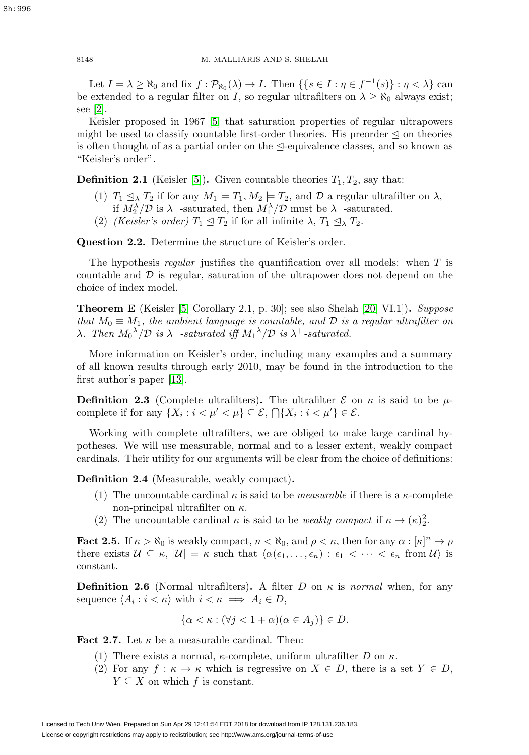Let  $I = \lambda \ge \aleph_0$  and fix  $f : \mathcal{P}_{\aleph_0}(\lambda) \to I$ . Then  $\{\{s \in I : \eta \in f^{-1}(s)\} : \eta < \lambda\}$  can be extended to a regular filter on I, so regular ultrafilters on  $\lambda \geq \aleph_0$  always exist; see [\[2\]](#page-33-10).

Keisler proposed in 1967 [\[5\]](#page-33-11) that saturation properties of regular ultrapowers might be used to classify countable first-order theories. His preorder  $\leq$  on theories is often thought of as a partial order on the  $\triangleleft$ -equivalence classes, and so known as "Keisler's order".

<span id="page-9-0"></span>**Definition 2.1** (Keisler [\[5\]](#page-33-11)). Given countable theories  $T_1, T_2$ , say that:

- (1)  $T_1 \leq_\lambda T_2$  if for any  $M_1 \models T_1, M_2 \models T_2$ , and  $\mathcal D$  a regular ultrafilter on  $\lambda$ , if  $M_2^{\lambda}/\mathcal{D}$  is  $\lambda^+$ -saturated, then  $M_1^{\lambda}/\mathcal{D}$  must be  $\lambda^+$ -saturated.
- (2) (Keisler's order)  $T_1 \trianglelefteq T_2$  if for all infinite  $\lambda$ ,  $T_1 \trianglelefteq_{\lambda} T_2$ .

**Question 2.2.** Determine the structure of Keisler's order.

The hypothesis regular justifies the quantification over all models: when  $T$  is countable and  $D$  is regular, saturation of the ultrapower does not depend on the choice of index model.

**Theorem E** (Keisler [\[5,](#page-33-11) Corollary 2.1, p. 30]; see also Shelah [\[20,](#page-34-5) VI.1])**.** Suppose that  $M_0 \equiv M_1$ , the ambient language is countable, and D is a regular ultrafilter on λ. Then  $M_0^{\lambda}/\mathcal{D}$  is  $\lambda^+$ -saturated iff  $M_1^{\lambda}/\mathcal{D}$  is  $\lambda^+$ -saturated.

More information on Keisler's order, including many examples and a summary of all known results through early 2010, may be found in the introduction to the first author's paper [\[13\]](#page-33-9).

**Definition 2.3** (Complete ultrafilters). The ultrafilter  $\mathcal{E}$  on  $\kappa$  is said to be  $\mu$ complete if for any  $\{X_i : i < \mu' < \mu\} \subseteq \mathcal{E}, \bigcap \{X_i : i < \mu'\} \in \mathcal{E}.$ 

Working with complete ultrafilters, we are obliged to make large cardinal hypotheses. We will use measurable, normal and to a lesser extent, weakly compact cardinals. Their utility for our arguments will be clear from the choice of definitions:

**Definition 2.4** (Measurable, weakly compact)**.**

- (1) The uncountable cardinal  $\kappa$  is said to be *measurable* if there is a  $\kappa$ -complete non-principal ultrafilter on  $\kappa$ .
- (2) The uncountable cardinal  $\kappa$  is said to be *weakly compact* if  $\kappa \to (\kappa)_2^2$ .

<span id="page-9-3"></span>**Fact 2.5.** If  $\kappa > \aleph_0$  is weakly compact,  $n < \aleph_0$ , and  $\rho < \kappa$ , then for any  $\alpha : [\kappa]^n \to \rho$ there exists  $\mathcal{U} \subseteq \kappa$ ,  $|\mathcal{U}| = \kappa$  such that  $\langle \alpha(\epsilon_1, \ldots, \epsilon_n) : \epsilon_1 < \cdots < \epsilon_n \text{ from } \mathcal{U} \rangle$  is constant.

<span id="page-9-1"></span>**Definition 2.6** (Normal ultrafilters). A filter D on  $\kappa$  is normal when, for any sequence  $\langle A_i : i \langle \kappa \rangle \text{ with } i \langle \kappa \implies A_i \in D$ ,

$$
\{\alpha < \kappa : (\forall j < 1 + \alpha)(\alpha \in A_j)\} \in D.
$$

<span id="page-9-2"></span>**Fact 2.7.** Let  $\kappa$  be a measurable cardinal. Then:

- (1) There exists a normal,  $\kappa$ -complete, uniform ultrafilter D on  $\kappa$ .
- (2) For any  $f : \kappa \to \kappa$  which is regressive on  $X \in D$ , there is a set  $Y \in D$ ,  $Y \subseteq X$  on which f is constant.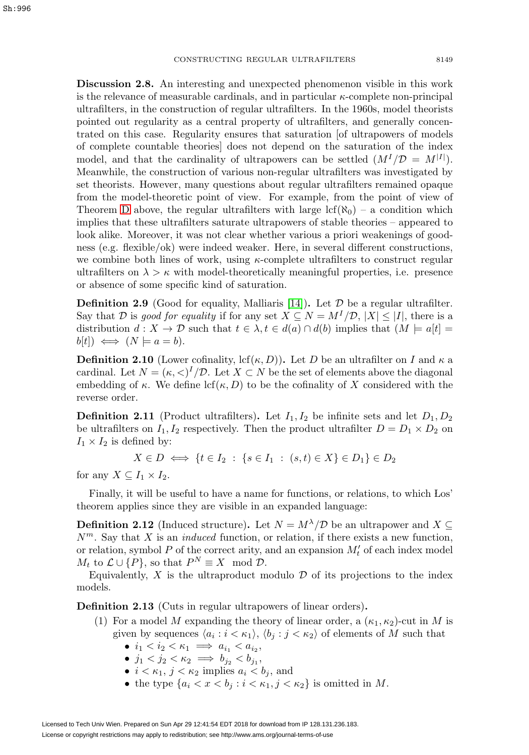<span id="page-10-0"></span>**Discussion 2.8.** An interesting and unexpected phenomenon visible in this work is the relevance of measurable cardinals, and in particular  $\kappa$ -complete non-principal ultrafilters, in the construction of regular ultrafilters. In the 1960s, model theorists pointed out regularity as a central property of ultrafilters, and generally concentrated on this case. Regularity ensures that saturation [of ultrapowers of models of complete countable theories] does not depend on the saturation of the index model, and that the cardinality of ultrapowers can be settled  $(M<sup>I</sup>/D = M<sup>|I|</sup>)$ . Meanwhile, the construction of various non-regular ultrafilters was investigated by set theorists. However, many questions about regular ultrafilters remained opaque from the model-theoretic point of view. For example, from the point of view of Theorem [D](#page-4-0) above, the regular ultrafilters with large  $\text{lcf}(\aleph_0)$  – a condition which implies that these ultrafilters saturate ultrapowers of stable theories – appeared to look alike. Moreover, it was not clear whether various a priori weakenings of goodness (e.g. flexible/ok) were indeed weaker. Here, in several different constructions, we combine both lines of work, using  $\kappa$ -complete ultrafilters to construct regular ultrafilters on  $\lambda > \kappa$  with model-theoretically meaningful properties, i.e. presence or absence of some specific kind of saturation.

**Definition 2.9** (Good for equality, Malliaris [\[14\]](#page-33-3)). Let  $\mathcal{D}$  be a regular ultrafilter. Say that D is good for equality if for any set  $X \subseteq N = M^{I}/\mathcal{D}, |X| \leq |I|$ , there is a distribution  $d: X \to \mathcal{D}$  such that  $t \in \lambda, t \in d(a) \cap d(b)$  implies that  $(M \models a[t] =$  $b[t]$   $\iff$   $(N \models a = b)$ .

**Definition 2.10** (Lower cofinality, lcf( $\kappa$ , D)). Let D be an ultrafilter on I and  $\kappa$  a cardinal. Let  $N = (\kappa, \langle \rangle)^I / \mathcal{D}$ . Let  $X \subset N$  be the set of elements above the diagonal embedding of  $\kappa$ . We define lcf( $\kappa$ , D) to be the cofinality of X considered with the reverse order.

<span id="page-10-2"></span>**Definition 2.11** (Product ultrafilters). Let  $I_1, I_2$  be infinite sets and let  $D_1, D_2$ be ultrafilters on  $I_1, I_2$  respectively. Then the product ultrafilter  $D = D_1 \times D_2$  on  $I_1 \times I_2$  is defined by:

 $X \in D \iff \{t \in I_2 : \{s \in I_1 : (s,t) \in X\} \in D_1\} \in D_2$ 

for any  $X \subseteq I_1 \times I_2$ .

Finally, it will be useful to have a name for functions, or relations, to which Los' theorem applies since they are visible in an expanded language:

**Definition 2.12** (Induced structure). Let  $N = M^{\lambda}/\mathcal{D}$  be an ultrapower and  $X \subseteq$  $N^m$ . Say that X is an *induced* function, or relation, if there exists a new function, or relation, symbol  $P$  of the correct arity, and an expansion  $M'_t$  of each index model  $M_t$  to  $\mathcal{L} \cup \{P\}$ , so that  $P^N \equiv X \mod \mathcal{D}$ .

Equivalently,  $X$  is the ultraproduct modulo  $D$  of its projections to the index models.

<span id="page-10-1"></span>**Definition 2.13** (Cuts in regular ultrapowers of linear orders)**.**

- (1) For a model M expanding the theory of linear order, a  $(\kappa_1, \kappa_2)$ -cut in M is given by sequences  $\langle a_i : i < \kappa_1 \rangle, \langle b_i : j < \kappa_2 \rangle$  of elements of M such that
	- $i_1 < i_2 < \kappa_1 \implies a_{i_1} < a_{i_2},$
	- $j_1 < j_2 < \kappa_2 \implies b_{j_2} < b_{j_1}$
	- $i < \kappa_1$ ,  $j < \kappa_2$  implies  $a_i < b_j$ , and
	- the type  $\{a_i < x < b_j : i < \kappa_1, j < \kappa_2\}$  is omitted in M.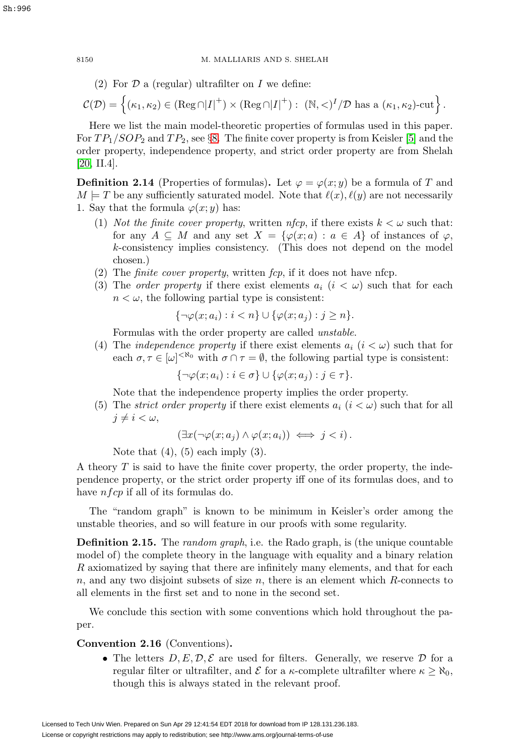(2) For  $\mathcal D$  a (regular) ultrafilter on  $I$  we define:

$$
\mathcal{C}(\mathcal{D}) = \left\{ (\kappa_1, \kappa_2) \in (\text{Reg } \cap |I|^+) \times (\text{Reg } \cap |I|^+) : \ (\mathbb{N}, <)^I / \mathcal{D} \text{ has a } (\kappa_1, \kappa_2)\text{-cut} \right\}.
$$

Here we list the main model-theoretic properties of formulas used in this paper. For  $TP_1/SOP_2$  and  $TP_2$ , see §[8.](#page-21-0) The finite cover property is from Keisler [\[5\]](#page-33-11) and the order property, independence property, and strict order property are from Shelah [\[20,](#page-34-5) II.4].

<span id="page-11-2"></span>**Definition 2.14** (Properties of formulas). Let  $\varphi = \varphi(x; y)$  be a formula of T and  $M \models T$  be any sufficiently saturated model. Note that  $\ell(x), \ell(y)$  are not necessarily 1. Say that the formula  $\varphi(x; y)$  has:

- (1) Not the finite cover property, written nfcp, if there exists  $k < \omega$  such that: for any  $A \subseteq M$  and any set  $X = {\varphi(x; a) : a \in A}$  of instances of  $\varphi$ , k-consistency implies consistency. (This does not depend on the model chosen.)
- (2) The *finite cover property*, written  $fcp$ , if it does not have nfcp.
- (3) The *order property* if there exist elements  $a_i$  ( $i < \omega$ ) such that for each  $n < \omega$ , the following partial type is consistent:

$$
\{\neg \varphi(x;a_i) : i < n\} \cup \{\varphi(x;a_j) : j \ge n\}.
$$

Formulas with the order property are called unstable.

(4) The *independence property* if there exist elements  $a_i$  ( $i < \omega$ ) such that for each  $\sigma, \tau \in [\omega]^{<\aleph_0}$  with  $\sigma \cap \tau = \emptyset$ , the following partial type is consistent:

 ${\neg \varphi(x; a_i) : i \in \sigma} \cup {\varphi(x; a_j) : j \in \tau}.$ 

Note that the independence property implies the order property.

(5) The *strict order property* if there exist elements  $a_i$  ( $i < \omega$ ) such that for all  $j \neq i < \omega$ ,

$$
(\exists x (\neg \varphi(x; a_j) \land \varphi(x; a_i)) \iff j < i).
$$

Note that  $(4)$ ,  $(5)$  each imply  $(3)$ .

A theory T is said to have the finite cover property, the order property, the independence property, or the strict order property iff one of its formulas does, and to have  $n f c p$  if all of its formulas do.

The "random graph" is known to be minimum in Keisler's order among the unstable theories, and so will feature in our proofs with some regularity.

<span id="page-11-0"></span>**Definition 2.15.** The *random graph*, i.e. the Rado graph, is (the unique countable model of) the complete theory in the language with equality and a binary relation R axiomatized by saying that there are infinitely many elements, and that for each  $n$ , and any two disjoint subsets of size  $n$ , there is an element which  $R$ -connects to all elements in the first set and to none in the second set.

We conclude this section with some conventions which hold throughout the paper.

#### <span id="page-11-1"></span>**Convention 2.16** (Conventions)**.**

• The letters  $D, E, \mathcal{D}, \mathcal{E}$  are used for filters. Generally, we reserve  $\mathcal D$  for a regular filter or ultrafilter, and  $\mathcal E$  for a  $\kappa$ -complete ultrafilter where  $\kappa \geq \aleph_0$ , though this is always stated in the relevant proof.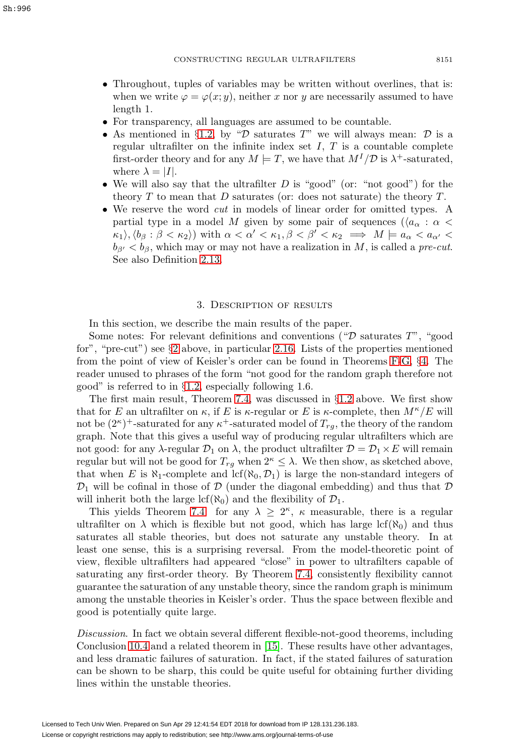- Throughout, tuples of variables may be written without overlines, that is: when we write  $\varphi = \varphi(x; y)$ , neither x nor y are necessarily assumed to have length 1.
- For transparency, all languages are assumed to be countable.
- As mentioned in §[1.2,](#page-5-0) by " $\mathcal D$  saturates T" we will always mean:  $\mathcal D$  is a regular ultrafilter on the infinite index set  $I, T$  is a countable complete first-order theory and for any  $M \models T$ , we have that  $M^{I}/\mathcal{D}$  is  $\lambda^{+}$ -saturated, where  $\lambda = |I|.$
- We will also say that the ultrafilter  $D$  is "good" (or: "not good") for the theory  $T$  to mean that  $D$  saturates (or: does not saturate) the theory  $T$ .
- We reserve the word *cut* in models of linear order for omitted types. A partial type in a model M given by some pair of sequences ( $\langle a_{\alpha} : \alpha \rangle$  $\kappa_1 \rangle, \langle b_\beta : \beta < \kappa_2 \rangle$  with  $\alpha < \alpha' < \kappa_1, \beta < \beta' < \kappa_2 \implies M \models a_\alpha < a_{\alpha'} <$  $b_{\beta'} < b_{\beta}$ , which may or may not have a realization in M, is called a pre-cut. See also Definition [2.13.](#page-10-1)

## 3. Description of results

<span id="page-12-0"></span>In this section, we describe the main results of the paper.

Some notes: For relevant definitions and conventions (" $\mathcal D$  saturates  $T$ ", "good for", "pre-cut") see  $\S 2$  $\S 2$  above, in particular [2.16.](#page-11-1) Lists of the properties mentioned from the point of view of Keisler's order can be found in Theorems [F-](#page-13-1)[G,](#page-14-0) §[4.](#page-13-0) The reader unused to phrases of the form "not good for the random graph therefore not good" is referred to in §[1.2,](#page-5-0) especially following 1.6.

The first main result, Theorem [7.4,](#page-21-2) was discussed in  $\S1.2$  $\S1.2$  above. We first show that for E an ultrafilter on  $\kappa$ , if E is  $\kappa$ -regular or E is  $\kappa$ -complete, then  $M^{\kappa}/E$  will not be  $(2<sup>\kappa</sup>)$ <sup>+</sup>-saturated for any  $\kappa$ <sup>+</sup>-saturated model of  $T_{ra}$ , the theory of the random graph. Note that this gives a useful way of producing regular ultrafilters which are not good: for any  $\lambda$ -regular  $\mathcal{D}_1$  on  $\lambda$ , the product ultrafilter  $\mathcal{D} = \mathcal{D}_1 \times E$  will remain regular but will not be good for  $T_{rg}$  when  $2^{\kappa} \leq \lambda$ . We then show, as sketched above, that when E is  $\aleph_1$ -complete and lcf( $\aleph_0$ ,  $\mathcal{D}_1$ ) is large the non-standard integers of  $\mathcal{D}_1$  will be cofinal in those of  $\mathcal D$  (under the diagonal embedding) and thus that  $\mathcal D$ will inherit both the large  $\text{lcf}(\aleph_0)$  and the flexibility of  $\mathcal{D}_1$ .

This yields Theorem [7.4:](#page-21-2) for any  $\lambda \geq 2^{\kappa}$ ,  $\kappa$  measurable, there is a regular ultrafilter on  $\lambda$  which is flexible but not good, which has large lcf( $\aleph_0$ ) and thus saturates all stable theories, but does not saturate any unstable theory. In at least one sense, this is a surprising reversal. From the model-theoretic point of view, flexible ultrafilters had appeared "close" in power to ultrafilters capable of saturating any first-order theory. By Theorem [7.4,](#page-21-2) consistently flexibility cannot guarantee the saturation of any unstable theory, since the random graph is minimum among the unstable theories in Keisler's order. Thus the space between flexible and good is potentially quite large.

Discussion. In fact we obtain several different flexible-not-good theorems, including Conclusion [10.4](#page-29-1) and a related theorem in [\[15\]](#page-34-4). These results have other advantages, and less dramatic failures of saturation. In fact, if the stated failures of saturation can be shown to be sharp, this could be quite useful for obtaining further dividing lines within the unstable theories.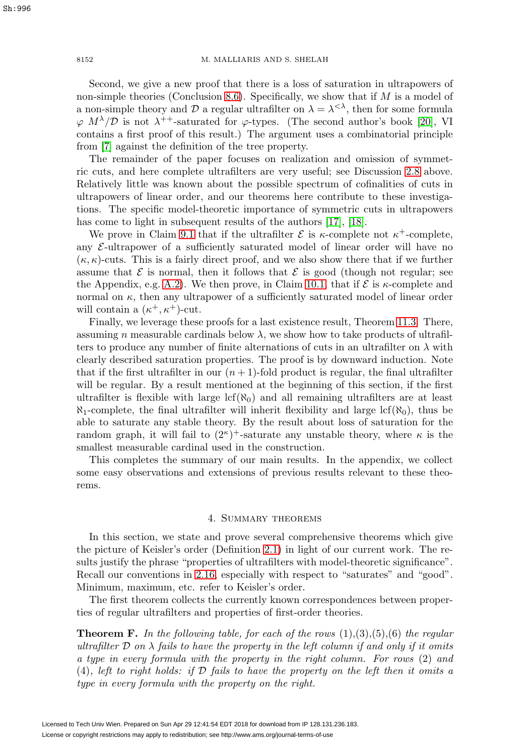Second, we give a new proof that there is a loss of saturation in ultrapowers of non-simple theories (Conclusion [8.6\)](#page-24-1). Specifically, we show that if  $M$  is a model of a non-simple theory and D a regular ultrafilter on  $\lambda = \lambda^{<\lambda}$ , then for some formula  $\varphi$  M<sup> $\lambda$ </sup>/D is not  $\lambda^{++}$ -saturated for  $\varphi$ -types. (The second author's book [\[20\]](#page-34-5), VI contains a first proof of this result.) The argument uses a combinatorial principle from [\[7\]](#page-33-12) against the definition of the tree property.

The remainder of the paper focuses on realization and omission of symmetric cuts, and here complete ultrafilters are very useful; see Discussion [2.8](#page-10-0) above. Relatively little was known about the possible spectrum of cofinalities of cuts in ultrapowers of linear order, and our theorems here contribute to these investigations. The specific model-theoretic importance of symmetric cuts in ultrapowers has come to light in subsequent results of the authors [\[17\]](#page-34-3), [\[18\]](#page-34-6).

We prove in Claim [9.1](#page-24-2) that if the ultrafilter  $\mathcal E$  is  $\kappa$ -complete not  $\kappa^+$ -complete, any  $\mathcal{E}\text{-ultrapower}$  of a sufficiently saturated model of linear order will have no  $(\kappa, \kappa)$ -cuts. This is a fairly direct proof, and we also show there that if we further assume that  $\mathcal E$  is normal, then it follows that  $\mathcal E$  is good (though not regular; see the Appendix, e.g. [A.2\)](#page-32-0). We then prove, in Claim [10.1,](#page-26-1) that if  $\mathcal E$  is  $\kappa$ -complete and normal on  $\kappa$ , then any ultrapower of a sufficiently saturated model of linear order will contain a  $(\kappa^+, \kappa^+)$ -cut.

Finally, we leverage these proofs for a last existence result, Theorem [11.3.](#page-30-0) There, assuming n measurable cardinals below  $\lambda$ , we show how to take products of ultrafilters to produce any number of finite alternations of cuts in an ultrafilter on  $\lambda$  with clearly described saturation properties. The proof is by downward induction. Note that if the first ultrafilter in our  $(n + 1)$ -fold product is regular, the final ultrafilter will be regular. By a result mentioned at the beginning of this section, if the first ultrafilter is flexible with large  $\text{lcf}(\aleph_0)$  and all remaining ultrafilters are at least  $\aleph_1$ -complete, the final ultrafilter will inherit flexibility and large lcf( $\aleph_0$ ), thus be able to saturate any stable theory. By the result about loss of saturation for the random graph, it will fail to  $(2^{\kappa})^+$ -saturate any unstable theory, where  $\kappa$  is the smallest measurable cardinal used in the construction.

This completes the summary of our main results. In the appendix, we collect some easy observations and extensions of previous results relevant to these theorems.

#### 4. Summary theorems

<span id="page-13-0"></span>In this section, we state and prove several comprehensive theorems which give the picture of Keisler's order (Definition [2.1\)](#page-9-0) in light of our current work. The results justify the phrase "properties of ultrafilters with model-theoretic significance". Recall our conventions in [2.16,](#page-11-1) especially with respect to "saturates" and "good". Minimum, maximum, etc. refer to Keisler's order.

The first theorem collects the currently known correspondences between properties of regular ultrafilters and properties of first-order theories.

<span id="page-13-1"></span>**Theorem F.** In the following table, for each of the rows  $(1),(3),(5),(6)$  the regular ultrafilter  $\mathcal D$  on  $\lambda$  fails to have the property in the left column if and only if it omits a type in every formula with the property in the right column. For rows (2) and  $(4)$ , left to right holds: if  $D$  fails to have the property on the left then it omits a type in every formula with the property on the right.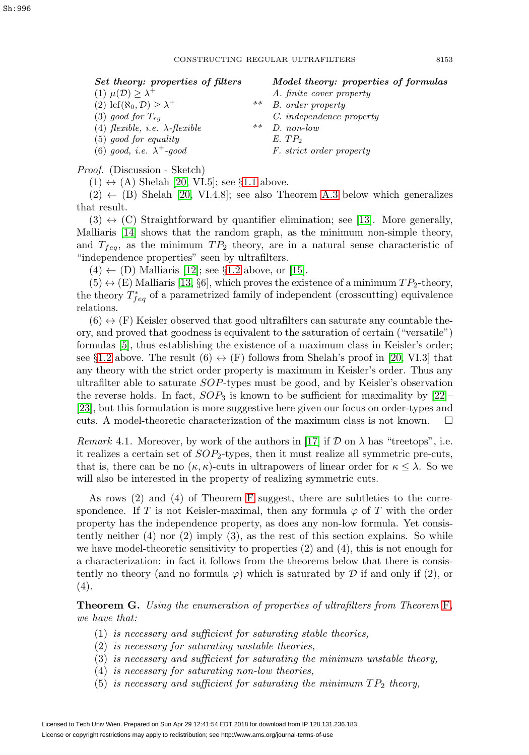| Set theory: properties of filters                              |    | Model theory: properties of formulas |
|----------------------------------------------------------------|----|--------------------------------------|
| (1) $\mu(\mathcal{D}) \geq \lambda^+$                          |    | A. finite cover property             |
| $(2) \operatorname{lcf}(\aleph_0, \mathcal{D}) \geq \lambda^+$ | ** | B. order property                    |
| $(3)$ good for $T_{rg}$                                        |    | C. independence property             |
| (4) flexible, <i>i.e.</i> $\lambda$ -flexible                  | ** | $D.$ non-low                         |
| $(5)$ good for equality                                        |    | $E.$ $TP2$                           |
| (6) good, <i>i.e.</i> $\lambda^+$ -good                        |    | <i>F. strict order property</i>      |

Proof. (Discussion - Sketch)

 $(1) \leftrightarrow (A)$  Shelah [\[20,](#page-34-5) VI.5]; see §[1.1](#page-2-3) above.

 $(2) \leftarrow (B)$  Shelah [\[20,](#page-34-5) VI.4.8]; see also Theorem [A.3](#page-32-1) below which generalizes that result.

 $(3) \leftrightarrow (C)$  Straightforward by quantifier elimination; see [\[13\]](#page-33-9). More generally, Malliaris [\[14\]](#page-33-3) shows that the random graph, as the minimum non-simple theory, and  $T_{feq}$ , as the minimum  $TP_2$  theory, are in a natural sense characteristic of "independence properties" seen by ultrafilters.

 $(4) \leftarrow (D)$  Malliaris [\[12\]](#page-33-2); see §[1.2](#page-5-0) above, or [\[15\]](#page-34-4).

 $(5) \leftrightarrow (E)$  Malliaris [\[13,](#page-33-9) §6], which proves the existence of a minimum  $TP_2$ -theory, the theory  $T_{feq}^*$  of a parametrized family of independent (crosscutting) equivalence relations.

 $(6) \leftrightarrow (F)$  Keisler observed that good ultrafilters can saturate any countable theory, and proved that goodness is equivalent to the saturation of certain ("versatile") formulas [\[5\]](#page-33-11), thus establishing the existence of a maximum class in Keisler's order; see §[1.2](#page-5-0) above. The result (6)  $\leftrightarrow$  (F) follows from Shelah's proof in [\[20,](#page-34-5) VI.3] that any theory with the strict order property is maximum in Keisler's order. Thus any ultrafilter able to saturate SOP-types must be good, and by Keisler's observation the reverse holds. In fact,  $SOP_3$  is known to be sufficient for maximality by  $[22]$ [\[23\]](#page-34-7), but this formulation is more suggestive here given our focus on order-types and cuts. A model-theoretic characterization of the maximum class is not known.  $\Box$ 

*Remark* 4.1. Moreover, by work of the authors in [\[17\]](#page-34-3) if  $\mathcal D$  on  $\lambda$  has "treetops", i.e. it realizes a certain set of  $SOP<sub>2</sub>$ -types, then it must realize all symmetric pre-cuts, that is, there can be no  $(\kappa, \kappa)$ -cuts in ultrapowers of linear order for  $\kappa \leq \lambda$ . So we will also be interested in the property of realizing symmetric cuts.

As rows  $(2)$  and  $(4)$  of Theorem [F](#page-13-1) suggest, there are subtleties to the correspondence. If T is not Keisler-maximal, then any formula  $\varphi$  of T with the order property has the independence property, as does any non-low formula. Yet consistently neither (4) nor (2) imply (3), as the rest of this section explains. So while we have model-theoretic sensitivity to properties (2) and (4), this is not enough for a characterization: in fact it follows from the theorems below that there is consistently no theory (and no formula  $\varphi$ ) which is saturated by  $\mathcal D$  if and only if (2), or (4).

<span id="page-14-0"></span>**Theorem G.** Using the enumeration of properties of ultrafilters from Theorem [F](#page-13-1), we have that:

- (1) is necessary and sufficient for saturating stable theories,
- (2) is necessary for saturating unstable theories,
- (3) is necessary and sufficient for saturating the minimum unstable theory,
- (4) is necessary for saturating non-low theories,
- (5) is necessary and sufficient for saturating the minimum  $TP_2$  theory,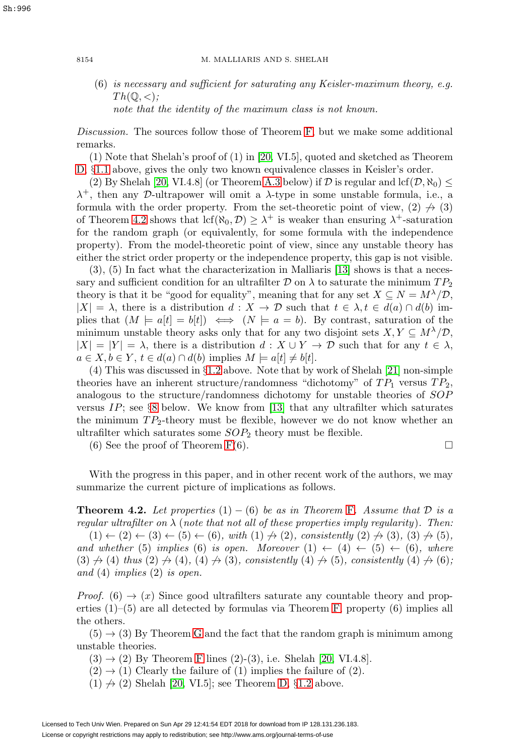(6) is necessary and sufficient for saturating any Keisler-maximum theory, e.g.  $Th(\mathbb{Q}, \lt;);$ note that the identity of the maximum class is not known.

Discussion. The sources follow those of Theorem [F,](#page-13-1) but we make some additional remarks.

(1) Note that Shelah's proof of (1) in [\[20,](#page-34-5) VI.5], quoted and sketched as Theorem [D,](#page-4-0) §[1.1](#page-2-3) above, gives the only two known equivalence classes in Keisler's order.

(2) By Shelah [\[20,](#page-34-5) VI.4.8] (or Theorem [A.3](#page-32-1) below) if  $D$  is regular and lcf( $D, \aleph_0$ )  $\leq$  $\lambda^+$ , then any D-ultrapower will omit a  $\lambda$ -type in some unstable formula, i.e., a formula with the order property. From the set-theoretic point of view,  $(2) \nrightarrow (3)$ of Theorem [4.2](#page-15-0) shows that  $\text{lcf}(\aleph_0, \mathcal{D}) \geq \lambda^+$  is weaker than ensuring  $\lambda^+$ -saturation for the random graph (or equivalently, for some formula with the independence property). From the model-theoretic point of view, since any unstable theory has either the strict order property or the independence property, this gap is not visible.

(3), (5) In fact what the characterization in Malliaris [\[13\]](#page-33-9) shows is that a necessary and sufficient condition for an ultrafilter D on  $\lambda$  to saturate the minimum  $TP_2$ theory is that it be "good for equality", meaning that for any set  $X \subseteq N = M^{\lambda}/\mathcal{D}$ ,  $|X| = \lambda$ , there is a distribution  $d: X \to \mathcal{D}$  such that  $t \in \lambda, t \in d(a) \cap d(b)$  implies that  $(M \models a[t] = b[t]) \iff (N \models a = b)$ . By contrast, saturation of the minimum unstable theory asks only that for any two disjoint sets  $X, Y \subseteq M^{\lambda}/\mathcal{D}$ ,  $|X| = |Y| = \lambda$ , there is a distribution  $d: X \cup Y \to \mathcal{D}$  such that for any  $t \in \lambda$ ,  $a \in X, b \in Y, t \in d(a) \cap d(b)$  implies  $M \models a[t] \neq b[t]$ .

(4) This was discussed in §[1.2](#page-5-0) above. Note that by work of Shelah [\[21\]](#page-34-8) non-simple theories have an inherent structure/randomness "dichotomy" of  $TP_1$  versus  $TP_2$ , analogous to the structure/randomness dichotomy for unstable theories of SOP versus  $IP$ ; see §[8](#page-21-0) below. We know from [\[13\]](#page-33-9) that any ultrafilter which saturates the minimum  $TP_2$ -theory must be flexible, however we do not know whether an ultrafilter which saturates some  $SOP<sub>2</sub>$  theory must be flexible.

(6) See the proof of Theorem  $F(6)$ .

 $\Box$ 

With the progress in this paper, and in other recent work of the authors, we may summarize the current picture of implications as follows.

<span id="page-15-0"></span>**Theorem 4.2.** Let properties  $(1) - (6)$  be as in Theorem [F](#page-13-1). Assume that  $D$  is a regular ultrafilter on  $\lambda$  (note that not all of these properties imply regularity). Then:

 $(1) \leftarrow (2) \leftarrow (3) \leftarrow (5) \leftarrow (6)$ , with  $(1) \nrightarrow (2)$ , consistently  $(2) \nrightarrow (3)$ ,  $(3) \nrightarrow (5)$ , and whether (5) implies (6) is open. Moreover  $(1) \leftarrow (4) \leftarrow (5) \leftarrow (6)$ , where  $(3) \nrightarrow (4)$  thus  $(2) \nrightarrow (4)$ ,  $(4) \nrightarrow (3)$ , consistently  $(4) \nrightarrow (5)$ , consistently  $(4) \nrightarrow (6)$ ; and (4) implies (2) is open.

*Proof.* (6)  $\rightarrow$  (x) Since good ultrafilters saturate any countable theory and properties  $(1)$ – $(5)$  are all detected by formulas via Theorem [F,](#page-13-1) property  $(6)$  implies all the others.

 $(5) \rightarrow (3)$  By Theorem [G](#page-14-0) and the fact that the random graph is minimum among unstable theories.

 $(3) \rightarrow (2)$  By Theorem [F](#page-13-1) lines  $(2)-(3)$ , i.e. Shelah [\[20,](#page-34-5) VI.4.8].

 $(2) \rightarrow (1)$  Clearly the failure of  $(1)$  implies the failure of  $(2)$ .

 $(1) \nrightarrow (2)$  Shelah [\[20,](#page-34-5) VI.5]; see Theorem [D,](#page-4-0) §[1.2](#page-5-0) above.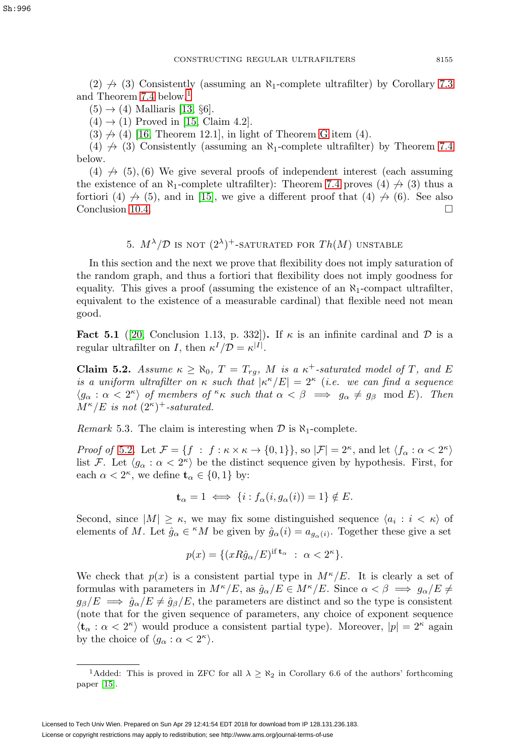$(2) \nrightarrow (3)$  Consistently (assuming an  $\aleph_1$ -complete ultrafilter) by Corollary [7.3](#page-21-1) and Theorem [7.4](#page-21-2) below.<sup>[1](#page-16-2)</sup>

 $(5) \rightarrow (4)$  Malliaris [\[13,](#page-33-9) §6].

 $(4) \rightarrow (1)$  Proved in [\[15,](#page-34-4) Claim 4.2].

 $(3) \nrightarrow (4)$  [\[16,](#page-34-2) Theorem 12.1], in light of Theorem [G](#page-14-0) item (4).

(4)  $\leftrightarrow$  (3) Consistently (assuming an  $\aleph_1$ -complete ultrafilter) by Theorem [7.4](#page-21-2) below.

 $(4) \nrightarrow (5)$ ,  $(6)$  We give several proofs of independent interest (each assuming the existence of an  $\aleph_1$ -complete ultrafilter): Theorem [7.4](#page-21-2) proves (4)  $\neq$  (3) thus a fortiori (4)  $\rightarrow$  (5), and in [\[15\]](#page-34-4), we give a different proof that (4)  $\rightarrow$  (6). See also Conclusion [10.4.](#page-29-1)  $\Box$ 

5.  $M^{\lambda}/\mathcal{D}$  is not  $(2^{\lambda})^+$ -saturated for  $Th(M)$  unstable

<span id="page-16-0"></span>In this section and the next we prove that flexibility does not imply saturation of the random graph, and thus a fortiori that flexibility does not imply goodness for equality. This gives a proof (assuming the existence of an  $\aleph_1$ -compact ultrafilter, equivalent to the existence of a measurable cardinal) that flexible need not mean good.

<span id="page-16-3"></span>**Fact 5.1** ([\[20,](#page-34-5) Conclusion 1.13, p. 332]). If  $\kappa$  is an infinite cardinal and D is a regular ultrafilter on I, then  $\kappa^I/\mathcal{D} = \kappa^{|I|}$ .

<span id="page-16-1"></span>**Claim 5.2.** Assume  $\kappa \ge \aleph_0$ ,  $T = T_{rg}$ , M is a  $\kappa^+$ -saturated model of T, and E is a uniform ultrafilter on  $\kappa$  such that  $|\kappa^{\kappa}/E| = 2^{\kappa}$  (i.e. we can find a sequence  $\langle g_\alpha : \alpha < 2^{\kappa} \rangle$  of members of  $\kappa$  such that  $\alpha < \beta \implies g_\alpha \neq g_\beta \mod E$ . Then  $M^{\kappa}/E$  is not  $(2^{\kappa})^+$ -saturated.

*Remark* 5.3. The claim is interesting when  $\mathcal{D}$  is  $\aleph_1$ -complete.

*Proof of* [5.2](#page-16-1). Let  $\mathcal{F} = \{f : f : \kappa \times \kappa \to \{0,1\}\}\)$ , so  $|\mathcal{F}| = 2^{\kappa}$ , and let  $\langle f_{\alpha} : \alpha < 2^{\kappa} \rangle$ list F. Let  $\langle g_\alpha : \alpha < 2^{\kappa} \rangle$  be the distinct sequence given by hypothesis. First, for each  $\alpha < 2^{\kappa}$ , we define  $\mathbf{t}_{\alpha} \in \{0, 1\}$  by:

$$
\mathbf{t}_{\alpha} = 1 \iff \{i : f_{\alpha}(i, g_{\alpha}(i)) = 1\} \notin E.
$$

Second, since  $|M| \geq \kappa$ , we may fix some distinguished sequence  $\langle a_i : i < \kappa \rangle$  of elements of M. Let  $\hat{g}_{\alpha} \in {}^{\kappa}M$  be given by  $\hat{g}_{\alpha}(i) = a_{g_{\alpha}(i)}$ . Together these give a set

$$
p(x) = \{ (xR\hat{g}_{\alpha}/E)^{\text{if } \mathbf{t}_{\alpha} } : \alpha < 2^{\kappa} \}.
$$

We check that  $p(x)$  is a consistent partial type in  $M^{\kappa}/E$ . It is clearly a set of formulas with parameters in  $M^{\kappa}/E$ , as  $\hat{g}_{\alpha}/E \in M^{\kappa}/E$ . Since  $\alpha < \beta \implies g_{\alpha}/E \neq$  $g_\beta/E \implies \hat{g}_\alpha/E \neq \hat{g}_\beta/E$ , the parameters are distinct and so the type is consistent (note that for the given sequence of parameters, any choice of exponent sequence  $\langle \mathbf{t}_\alpha : \alpha < 2^\kappa \rangle$  would produce a consistent partial type). Moreover,  $|p| = 2^\kappa$  again by the choice of  $\langle g_\alpha : \alpha < 2^{\kappa} \rangle$ .

<span id="page-16-2"></span><sup>&</sup>lt;sup>1</sup>Added: This is proved in ZFC for all  $\lambda \geq \aleph_2$  in Corollary 6.6 of the authors' forthcoming paper [\[15\]](#page-34-4).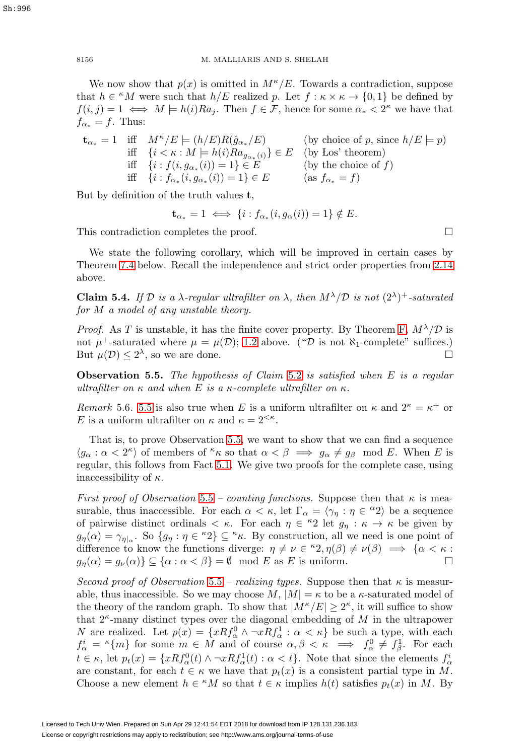We now show that  $p(x)$  is omitted in  $M^{\kappa}/E$ . Towards a contradiction, suppose that  $h \in {}^{\kappa}M$  were such that  $h/E$  realized p. Let  $f : \kappa \times \kappa \to \{0,1\}$  be defined by  $f(i, j) = 1 \iff M \models h(i)Ra_i$ . Then  $f \in \mathcal{F}$ , hence for some  $\alpha_* < 2^{\kappa}$  we have that  $f_{\alpha*} = f$ . Thus:

$$
\mathbf{t}_{\alpha_*} = 1 \quad \text{iff} \quad M^{\kappa}/E \models (h/E)R(\hat{g}_{\alpha_*}/E) \quad \text{(by choice of } p \text{, since } h/E \models p) \n\text{iff} \quad \{i < \kappa : M \models h(i)Ra_{g_{\alpha_*}(i)}\} \in E \quad \text{(by Los' theorem)} \n\text{iff} \quad \{i : f(i, g_{\alpha_*}(i)) = 1\} \in E \quad \text{(by the choice of } f) \n\text{iff} \quad \{i : f_{\alpha_*}(i, g_{\alpha_*}(i)) = 1\} \in E \quad \text{(as } f_{\alpha_*} = f)
$$

But by definition of the truth values **t**,

$$
\mathbf{t}_{\alpha_*} = 1 \iff \{i : f_{\alpha_*}(i, g_{\alpha}(i)) = 1\} \notin E.
$$

This contradiction completes the proof.  $\Box$ 

We state the following corollary, which will be improved in certain cases by Theorem [7.4](#page-21-2) below. Recall the independence and strict order properties from [2.14](#page-11-2) above.

**Claim 5.4.** If D is a  $\lambda$ -regular ultrafilter on  $\lambda$ , then  $M^{\lambda}/D$  is not  $(2^{\lambda})^+$ -saturated for M a model of any unstable theory.

*Proof.* As T is unstable, it has the finite cover property. By Theorem [F,](#page-13-1)  $M^{\lambda}/\mathcal{D}$  is not  $\mu^+$ -saturated where  $\mu = \mu(\mathcal{D})$ ; [1.2](#page-3-0) above. (" $\mathcal{D}$  is not  $\aleph_1$ -complete" suffices.) But  $\mu(\mathcal{D}) \leq 2^{\lambda}$ , so we are done.

<span id="page-17-0"></span>**Observation 5.5.** The hypothesis of Claim [5.2](#page-16-1) is satisfied when E is a regular ultrafilter on  $\kappa$  and when E is a  $\kappa$ -complete ultrafilter on  $\kappa$ .

Remark 5.6. [5.5](#page-17-0) is also true when E is a uniform ultrafilter on  $\kappa$  and  $2^{\kappa} = \kappa^+$  or E is a uniform ultrafilter on  $\kappa$  and  $\kappa = 2^{<\kappa}$ .

That is, to prove Observation [5.5,](#page-17-0) we want to show that we can find a sequence  $\langle g_\alpha : \alpha < 2^{\kappa} \rangle$  of members of  $\kappa$  so that  $\alpha < \beta \implies g_\alpha \neq g_\beta \mod E$ . When E is regular, this follows from Fact [5.1.](#page-16-3) We give two proofs for the complete case, using inaccessibility of  $\kappa$ .

First proof of Observation [5.5](#page-17-0) – counting functions. Suppose then that  $\kappa$  is measurable, thus inaccessible. For each  $\alpha < \kappa$ , let  $\Gamma_{\alpha} = \langle \gamma_{\eta} : \eta \in {}^{\alpha}2 \rangle$  be a sequence of pairwise distinct ordinals  $\lt \kappa$ . For each  $\eta \in {}^{\kappa}2$  let  $g_{\eta} : \kappa \to \kappa$  be given by  $g_{\eta}(\alpha) = \gamma_{\eta}$ . So  $\{g_{\eta} : \eta \in {}^{\kappa}2\} \subseteq {}^{\kappa}\kappa$ . By construction, all we need is one point of difference to know the functions diverge:  $\eta \neq \nu \in {}^{\kappa}2, \eta(\beta) \neq \nu(\beta) \implies {\alpha < \kappa :}$  $g_{\eta}(\alpha) = g_{\nu}(\alpha) \} \subseteq {\alpha : \alpha < \beta} = \emptyset \mod E$  as E is uniform.  $\Box$ 

Second proof of Observation [5.5](#page-17-0) – realizing types. Suppose then that  $\kappa$  is measurable, thus inaccessible. So we may choose  $M$ ,  $|M| = \kappa$  to be a  $\kappa$ -saturated model of the theory of the random graph. To show that  $|M^{\kappa}/E| \geq 2^{\kappa}$ , it will suffice to show that  $2^{\kappa}$ -many distinct types over the diagonal embedding of M in the ultrapower N are realized. Let  $p(x) = \{xRf_{\alpha}^0 \wedge \neg xRf_{\alpha}^1 : \alpha < \kappa\}$  be such a type, with each  $f^i_\alpha = \kappa \{m\}$  for some  $m \in M$  and of course  $\alpha, \beta < \kappa \implies f^0_\alpha \neq f^1_\beta$ . For each  $t \in \kappa$ , let  $p_t(x) = \{xRf_\alpha^0(t) \wedge \neg xRf_\alpha^1(t) : \alpha < t\}$ . Note that since the elements  $f_\alpha^i$ are constant, for each  $t \in \kappa$  we have that  $p_t(x)$  is a consistent partial type in M. Choose a new element  $h \in {}^{\kappa}M$  so that  $t \in \kappa$  implies  $h(t)$  satisfies  $p_t(x)$  in M. By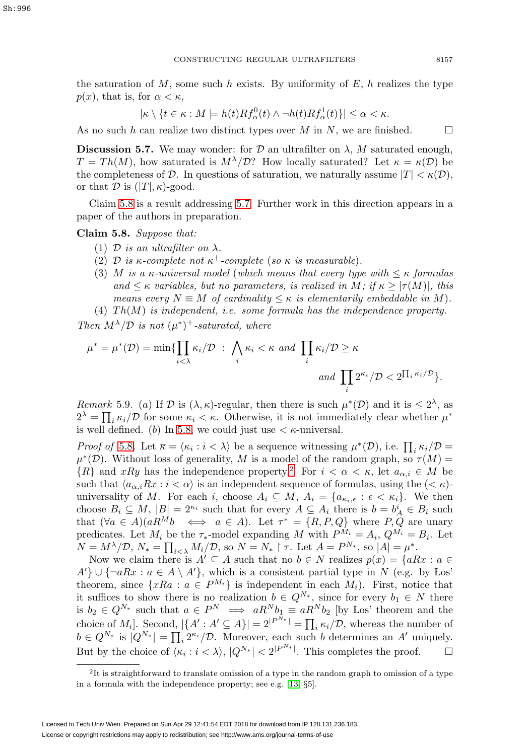the saturation of  $M$ , some such h exists. By uniformity of  $E$ , h realizes the type  $p(x)$ , that is, for  $\alpha < \kappa$ ,

$$
|\kappa \setminus \{t \in \kappa : M \models h(t)Rf_{\alpha}^{0}(t) \wedge \neg h(t)Rf_{\alpha}^{1}(t)\}| \leq \alpha < \kappa.
$$

As no such h can realize two distinct types over M in N, we are finished.  $\square$ 

<span id="page-18-1"></span>**Discussion 5.7.** We may wonder: for  $D$  an ultrafilter on  $\lambda$ , M saturated enough,  $T = Th(M)$ , how saturated is  $M^{\lambda}/\mathcal{D}$ ? How locally saturated? Let  $\kappa = \kappa(\mathcal{D})$  be the completeness of D. In questions of saturation, we naturally assume  $|T| < \kappa(\mathcal{D}),$ or that  $\mathcal D$  is  $(|T|, \kappa)$ -good.

Claim [5.8](#page-18-0) is a result addressing [5.7.](#page-18-1) Further work in this direction appears in a paper of the authors in preparation.

<span id="page-18-0"></span>**Claim 5.8.** Suppose that:

- (1) D is an ultrafilter on  $\lambda$ .
- (2) D is  $\kappa$ -complete not  $\kappa^+$ -complete (so  $\kappa$  is measurable).
- (3) M is a  $\kappa$ -universal model (which means that every type with  $\leq \kappa$  formulas and  $\leq \kappa$  variables, but no parameters, is realized in M; if  $\kappa \geq |\tau(M)|$ , this means every  $N \equiv M$  of cardinality  $\leq \kappa$  is elementarily embeddable in M).

(4)  $Th(M)$  is independent, i.e. some formula has the independence property. Then  $M^{\lambda}/\mathcal{D}$  is not  $(\mu^*)^+$ -saturated, where

$$
\mu^* = \mu^*(\mathcal{D}) = \min \{ \prod_{i < \lambda} \kappa_i / \mathcal{D} \; : \; \bigwedge_i \kappa_i < \kappa \text{ and } \prod_i \kappa_i / \mathcal{D} \ge \kappa
$$
\n
$$
\text{and } \prod_i 2^{\kappa_i} / \mathcal{D} < 2^{\prod_i \kappa_i / \mathcal{D}} \}.
$$

Remark 5.9. (a) If D is  $(\lambda, \kappa)$ -regular, then there is such  $\mu^*(\mathcal{D})$  and it is  $\leq 2^{\lambda}$ , as  $2^{\lambda} = \prod_i \kappa_i / \mathcal{D}$  for some  $\kappa_i < \kappa$ . Otherwise, it is not immediately clear whether  $\mu^*$ is well defined. (b) In [5.8,](#page-18-0) we could just use  $\lt \kappa$ -universal.

*Proof of* [5.8](#page-18-0). Let  $\overline{\kappa} = \langle \kappa_i : i \rangle \rangle$  be a sequence witnessing  $\mu^*(\mathcal{D})$ , i.e.  $\prod_i \kappa_i / \mathcal{D} =$  $\mu^*(\mathcal{D})$ . Without loss of generality, M is a model of the random graph, so  $\tau(M)$  =  ${R}$  and xRy has the independence property.<sup>[2](#page-18-2)</sup> For  $i < \alpha < \kappa$ , let  $a_{\alpha,i} \in M$  be such that  $\langle a_{\alpha,i}Rx : i \leq \alpha \rangle$  is an independent sequence of formulas, using the  $(\leq \kappa)$ universality of M. For each i, choose  $A_i \subseteq M$ ,  $A_i = \{a_{\kappa_i,\epsilon} : \epsilon < \kappa_i\}$ . We then choose  $B_i \subseteq M$ ,  $|B| = 2^{\kappa_i}$  such that for every  $A \subseteq A_i$  there is  $b = b_A^i \in B_i$  such that  $(\forall a \in A)(aR^Mb \iff a \in A)$ . Let  $\tau^* = \{R, P, Q\}$  where  $P, Q$  are unary predicates. Let  $M_i$  be the  $\tau_*$ -model expanding M with  $P^{M_i} = A_i$ ,  $Q^{M_i} = B_i$ . Let  $N = M^{\lambda}/\mathcal{D}, N_* = \prod_{i<\lambda} M_i/\mathcal{D}, \text{ so } N = N_* \upharpoonright \tau.$  Let  $A = P^{N_*}, \text{ so } |A| = \mu^*.$ 

Now we claim there is  $A' \subseteq A$  such that no  $b \in N$  realizes  $p(x) = \{aRx : a \in A\}$  $A'$   $\cup$  {¬aRx :  $a \in A \setminus A'$ }, which is a consistent partial type in N (e.g. by Los' theorem, since  $\{xRa : a \in P^{M_i}\}\$ is independent in each  $M_i$ ). First, notice that it suffices to show there is no realization  $b \in Q^{N_*}$ , since for every  $b_1 \in N$  there is  $b_2 \in Q^{N_*}$  such that  $a \in P^N \implies aR^N b_1 \equiv aR^N b_2$  [by Los' theorem and the choice of  $M_i$ . Second,  $|\{A': A' \subseteq A\}| = 2^{|P^{N_*}|} = \prod_i \kappa_i/\mathcal{D}$ , whereas the number of  $b \in Q^{N_*}$  is  $|Q^{N_*}| = \prod_i 2^{\kappa_i}/\mathcal{D}$ . Moreover, each such b determines an A' uniquely. But by the choice of  $\langle \kappa_i : i \langle \lambda \rangle, |Q^{N_*}| \langle 2|^{P^{N_*}}|$ . This completes the proof.  $\Box$ 

<span id="page-18-2"></span><sup>&</sup>lt;sup>2</sup>It is straightforward to translate omission of a type in the random graph to omission of a type in a formula with the independence property; see e.g. [\[13,](#page-33-9) §5].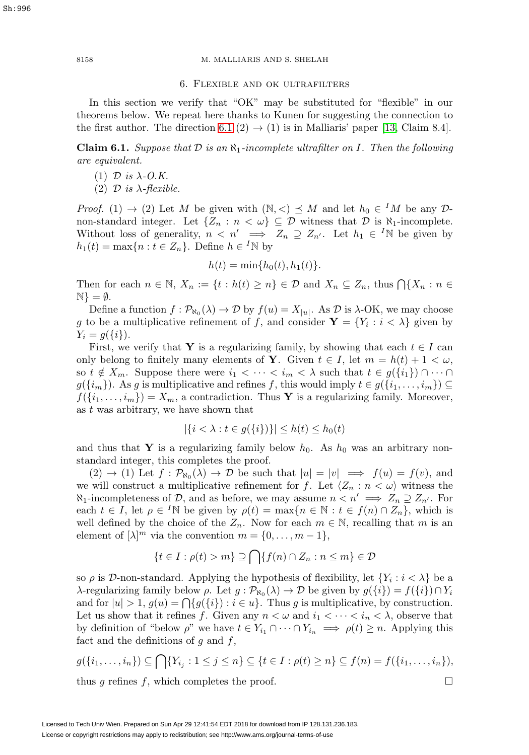<span id="page-19-0"></span>8158 M. MALLIARIS AND S. SHELAH

### 6. Flexible and ok ultrafilters

In this section we verify that "OK" may be substituted for "flexible" in our theorems below. We repeat here thanks to Kunen for suggesting the connection to the first author. The direction [6.1](#page-19-1) (2)  $\rightarrow$  (1) is in Malliaris' paper [\[13,](#page-33-9) Claim 8.4].

<span id="page-19-1"></span>**Claim 6.1.** Suppose that  $D$  is an  $\aleph_1$ -incomplete ultrafilter on I. Then the following are equivalent.

- (1)  $\mathcal{D}$  is  $\lambda$ -O.K.
- (2)  $\mathcal{D}$  is  $\lambda$ -flexible.

*Proof.* (1)  $\rightarrow$  (2) Let M be given with  $(\mathbb{N}, <) \preceq M$  and let  $h_0 \in M$  be any  $\mathcal{D}$ non-standard integer. Let  $\{Z_n : n < \omega\} \subseteq \mathcal{D}$  witness that  $\mathcal{D}$  is  $\aleph_1$ -incomplete. Without loss of generality,  $n \langle n' \rangle \implies Z_n \supseteq Z_{n'}$ . Let  $h_1 \in {}^I\mathbb{N}$  be given by  $h_1(t) = \max\{n : t \in Z_n\}.$  Define  $h \in {}^I\mathbb{N}$  by

$$
h(t) = \min\{h_0(t), h_1(t)\}.
$$

Then for each  $n \in \mathbb{N}$ ,  $X_n := \{t : h(t) \geq n\} \in \mathcal{D}$  and  $X_n \subseteq Z_n$ , thus  $\bigcap \{X_n : n \in \mathcal{D}\}$  $\mathbb{N}$  =  $\emptyset$ .

Define a function  $f : \mathcal{P}_{\aleph_0}(\lambda) \to \mathcal{D}$  by  $f(u) = X_{|u|}$ . As  $\mathcal{D}$  is  $\lambda$ -OK, we may choose g to be a multiplicative refinement of f, and consider  $Y = \{Y_i : i < \lambda\}$  given by  $Y_i = g({i}).$ 

First, we verify that **Y** is a regularizing family, by showing that each  $t \in I$  can only belong to finitely many elements of **Y**. Given  $t \in I$ , let  $m = h(t) + 1 < \omega$ , so  $t \notin X_m$ . Suppose there were  $i_1 < \cdots < i_m < \lambda$  such that  $t \in g(\{i_1\}) \cap \cdots \cap$  $g({i_m})$ . As g is multiplicative and refines f, this would imply  $t \in g({i_1,\ldots,i_m}) \subseteq$  $f({i_1},...,i_m) = X_m$ , a contradiction. Thus Y is a regularizing family. Moreover, as  $t$  was arbitrary, we have shown that

$$
|\{i < \lambda : t \in g(\{i\})\}| \le h(t) \le h_0(t)
$$

and thus that **Y** is a regularizing family below  $h_0$ . As  $h_0$  was an arbitrary nonstandard integer, this completes the proof.

 $(2) \rightarrow (1)$  Let  $f : \mathcal{P}_{\aleph_0}(\lambda) \rightarrow \mathcal{D}$  be such that  $|u| = |v| \implies f(u) = f(v)$ , and we will construct a multiplicative refinement for f. Let  $\langle Z_n : n < \omega \rangle$  witness the  $\aleph_1$ -incompleteness of D, and as before, we may assume  $n < n' \implies Z_n \supseteq Z_{n'}$ . For each  $t \in I$ , let  $\rho \in {}^{I}\mathbb{N}$  be given by  $\rho(t) = \max\{n \in \mathbb{N} : t \in f(n) \cap Z_n\}$ , which is well defined by the choice of the  $Z_n$ . Now for each  $m \in \mathbb{N}$ , recalling that m is an element of  $[\lambda]^m$  via the convention  $m = \{0, \ldots, m-1\},\$ 

$$
\{t \in I : \rho(t) > m\} \supseteq \bigcap \{f(n) \cap Z_n : n \le m\} \in \mathcal{D}
$$

so  $\rho$  is D-non-standard. Applying the hypothesis of flexibility, let  $\{Y_i : i < \lambda\}$  be a λ-regularizing family below *ρ*. Let  $g : \mathcal{P}_{\aleph_0}(\lambda) \to \mathcal{D}$  be given by  $g({i}) = f({i}) ∩ Y_i$ and for  $|u| > 1$ ,  $g(u) = \bigcap \{g(\{i\}) : i \in u\}$ . Thus g is multiplicative, by construction. Let us show that it refines f. Given any  $n < \omega$  and  $i_1 < \cdots < i_n < \lambda$ , observe that by definition of "below  $\rho$ " we have  $t \in Y_{i_1} \cap \cdots \cap Y_{i_n} \implies \rho(t) \geq n$ . Applying this fact and the definitions of  $g$  and  $f$ ,

$$
g(\{i_1, \ldots, i_n\}) \subseteq \bigcap \{Y_{i_j} : 1 \le j \le n\} \subseteq \{t \in I : \rho(t) \ge n\} \subseteq f(n) = f(\{i_1, \ldots, i_n\}),
$$
 thus *q* refines *f*, which completes the proof.

thus q refines f, which completes the proof.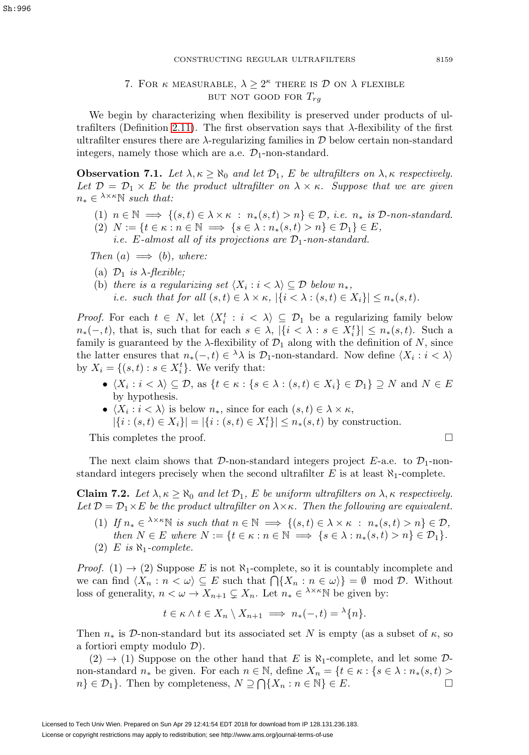# 7. FOR  $\kappa$  measurable,  $\lambda \geq 2^{\kappa}$  there is  $\mathcal D$  on  $\lambda$  flexible BUT NOT GOOD FOR  $T_{ra}$

<span id="page-20-0"></span>We begin by characterizing when flexibility is preserved under products of ul-trafilters (Definition [2.11\)](#page-10-2). The first observation says that  $\lambda$ -flexibility of the first ultrafilter ensures there are  $\lambda$ -regularizing families in  $\mathcal D$  below certain non-standard integers, namely those which are a.e.  $\mathcal{D}_1$ -non-standard.

<span id="page-20-2"></span>**Observation 7.1.** Let  $\lambda, \kappa \geq \aleph_0$  and let  $\mathcal{D}_1$ , E be ultrafilters on  $\lambda, \kappa$  respectively. Let  $\mathcal{D} = \mathcal{D}_1 \times E$  be the product ultrafilter on  $\lambda \times \kappa$ . Suppose that we are given  $n_* \in \lambda^{\times \kappa} \mathbb{N}$  such that:

- (1)  $n \in \mathbb{N} \implies \{(s,t) \in \lambda \times \kappa : n_*(s,t) > n\} \in \mathcal{D}, \text{ i.e. } n_* \text{ is } \mathcal{D}\text{-non-standard.}$
- (2)  $N := \{t \in \kappa : n \in \mathbb{N} \implies \{s \in \lambda : n_*(s, t) > n\} \in \mathcal{D}_1\} \in E$ , *i.e.* E-almost all of its projections are  $\mathcal{D}_1$ -non-standard.

Then  $(a) \implies (b)$ , where:

- (a)  $\mathcal{D}_1$  is  $\lambda$ -flexible;
- (b) there is a regularizing set  $\langle X_i : i \rangle \subseteq \mathcal{D}$  below  $n_*$ , i.e. such that for all  $(s, t) \in \lambda \times \kappa$ ,  $|\{i < \lambda : (s, t) \in X_i\}| \leq n_*(s, t)$ .

*Proof.* For each  $t \in N$ , let  $\langle X_i^t : i \langle \lambda \rangle \subseteq \mathcal{D}_1$  be a regularizing family below  $n_*(-,t)$ , that is, such that for each  $s \in \lambda$ ,  $|\{i < \lambda : s \in X_i^t\}| \leq n_*(s,t)$ . Such a family is guaranteed by the  $\lambda$ -flexibility of  $\mathcal{D}_1$  along with the definition of N, since the latter ensures that  $n_*(-,t) \in \lambda \lambda$  is  $\mathcal{D}_1$ -non-standard. Now define  $\langle X_i : i < \lambda \rangle$ by  $X_i = \{(s, t) : s \in X_i^t\}$ . We verify that:

- $\langle X_i : i \langle \lambda \rangle \subseteq \mathcal{D}$ , as  $\{t \in \kappa : \{s \in \lambda : (s, t) \in X_i\} \in \mathcal{D}_1\} \supseteq N$  and  $N \in E$ by hypothesis.
- $\langle X_i : i \rangle \$  is below  $n_*,$  since for each  $(s, t) \in \lambda \times \kappa$ ,  $|\{i : (s,t) \in X_i\}| = |\{i : (s,t) \in X_i^t\}| \le n_*(s,t)$  by construction.

This completes the proof.  $\Box$ 

The next claim shows that D-non-standard integers project  $E$ -a.e. to  $\mathcal{D}_1$ -nonstandard integers precisely when the second ultrafilter E is at least  $\aleph_1$ -complete.

<span id="page-20-1"></span>**Claim 7.2.** Let  $\lambda, \kappa \geq \aleph_0$  and let  $\mathcal{D}_1$ , E be uniform ultrafilters on  $\lambda, \kappa$  respectively. Let  $\mathcal{D} = \mathcal{D}_1 \times E$  be the product ultrafilter on  $\lambda \times \kappa$ . Then the following are equivalent.

- (1) If  $n_* \in \lambda^{\times} \in \mathbb{N}$  is such that  $n \in \mathbb{N} \implies \{(s,t) \in \lambda \times \kappa : n_*(s,t) > n\} \in \mathcal{D}$ , then  $N \in E$  where  $N := \{t \in \kappa : n \in \mathbb{N} \implies \{s \in \lambda : n_*(s,t) > n\} \in \mathcal{D}_1\}.$
- (2) E is  $\aleph_1$ -complete.

*Proof.* (1)  $\rightarrow$  (2) Suppose E is not  $\aleph_1$ -complete, so it is countably incomplete and we can find  $\langle X_n : n \langle \omega \rangle \subseteq E$  such that  $\bigcap \{X_n : n \in \omega\} = \emptyset \mod \mathcal{D}$ . Without loss of generality,  $n < \omega \to X_{n+1} \subsetneq X_n$ . Let  $n_* \in \lambda^{\times} \infty$  be given by:

$$
t \in \kappa \wedge t \in X_n \setminus X_{n+1} \implies n_*(-,t) = \lambda \{n\}.
$$

Then  $n_*$  is D-non-standard but its associated set N is empty (as a subset of  $\kappa$ , so a fortiori empty modulo D).

 $(2) \rightarrow (1)$  Suppose on the other hand that E is  $\aleph_1$ -complete, and let some Dnon-standard  $n_*$  be given. For each  $n \in \mathbb{N}$ , define  $X_n = \{t \in \kappa : \{s \in \lambda : n_*(s,t) > n\} \in \mathcal{D}_1\}$ . Then by completeness  $N \supset \bigcap \{X_n : n \in \mathbb{N}\}\in E$ .  $n\}\in\mathcal{D}_1$ . Then by completeness,  $N\supseteq\bigcap\{X_n:n\in\mathbb{N}\}\in E$ .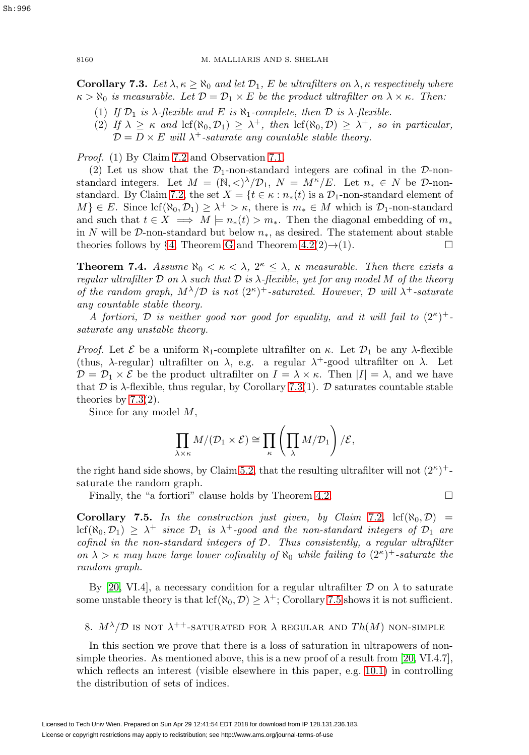<span id="page-21-1"></span>**Corollary 7.3.** Let  $\lambda, \kappa \ge \aleph_0$  and let  $\mathcal{D}_1$ , E be ultrafilters on  $\lambda, \kappa$  respectively where  $\kappa > \aleph_0$  is measurable. Let  $\mathcal{D} = \mathcal{D}_1 \times E$  be the product ultrafilter on  $\lambda \times \kappa$ . Then:

- (1) If  $\mathcal{D}_1$  is  $\lambda$ -flexible and E is  $\aleph_1$ -complete, then  $\mathcal D$  is  $\lambda$ -flexible.
- (2) If  $\lambda \geq \kappa$  and  $\text{lcf}(\aleph_0, \mathcal{D}_1) \geq \lambda^+$ , then  $\text{lcf}(\aleph_0, \mathcal{D}) \geq \lambda^+$ , so in particular,  $\mathcal{D} = D \times E$  will  $\lambda^+$ -saturate any countable stable theory.

Proof. (1) By Claim [7.2](#page-20-1) and Observation [7.1.](#page-20-2)

(2) Let us show that the  $\mathcal{D}_1$ -non-standard integers are cofinal in the  $\mathcal{D}$ -nonstandard integers. Let  $M = (\mathbb{N}, \langle \rangle)^{\lambda}/\mathcal{D}_1$ ,  $N = M^{\kappa}/E$ . Let  $n_* \in N$  be  $\mathcal{D}$ -non-standard. By Claim [7.2,](#page-20-1) the set  $X = \{t \in \kappa : n_*(t) \text{ is a } \mathcal{D}_1\text{-non-standard element of }\}$  $M \in E$ . Since  $\text{lcf}(\aleph_0, \mathcal{D}_1) \geq \lambda^+ > \kappa$ , there is  $m_* \in M$  which is  $\mathcal{D}_1$ -non-standard and such that  $t \in X \implies M \models n_*(t) > m_*$ . Then the diagonal embedding of  $m_*$ in N will be D-non-standard but below  $n<sub>*</sub>$ , as desired. The statement about stable theories follows by §[4,](#page-13-0) Theorem [G](#page-14-0) and Theorem [4.2\(](#page-15-0)2) $\rightarrow$ (1).  $\Box$ 

<span id="page-21-2"></span>**Theorem 7.4.** Assume  $\aleph_0 < \kappa < \lambda$ ,  $2^{\kappa} \leq \lambda$ ,  $\kappa$  measurable. Then there exists a regular ultrafilter D on  $\lambda$  such that D is  $\lambda$ -flexible, yet for any model M of the theory of the random graph,  $M^{\lambda}/\mathcal{D}$  is not  $(2^{\kappa})^+$ -saturated. However,  $\mathcal D$  will  $\lambda^+$ -saturate any countable stable theory.

A fortiori, D is neither good nor good for equality, and it will fail to  $(2^{\kappa})^+$ . saturate any unstable theory.

*Proof.* Let  $\mathcal E$  be a uniform  $\aleph_1$ -complete ultrafilter on  $\kappa$ . Let  $\mathcal D_1$  be any  $\lambda$ -flexible (thus,  $\lambda$ -regular) ultrafilter on  $\lambda$ , e.g. a regular  $\lambda^+$ -good ultrafilter on  $\lambda$ . Let  $\mathcal{D} = \mathcal{D}_1 \times \mathcal{E}$  be the product ultrafilter on  $I = \lambda \times \kappa$ . Then  $|I| = \lambda$ , and we have that  $\mathcal D$  is  $\lambda$ -flexible, thus regular, by Corollary [7.3\(](#page-21-1)1).  $\mathcal D$  saturates countable stable theories by [7.3\(](#page-21-1)2).

Since for any model M,

$$
\prod_{\lambda \times \kappa} M/(\mathcal{D}_1 \times \mathcal{E}) \cong \prod_{\kappa} \left( \prod_{\lambda} M/\mathcal{D}_1 \right) / \mathcal{E},
$$

the right hand side shows, by Claim [5.2,](#page-16-1) that the resulting ultrafilter will not  $(2^{\kappa})^+$ saturate the random graph.

Finally, the "a fortiori" clause holds by Theorem [4.2.](#page-15-0)  $\Box$ 

<span id="page-21-3"></span>**Corollary 7.5.** In the construction just given, by Claim [7.2](#page-20-1),  $\text{lcf}(\aleph_0, \mathcal{D})$  $\text{lcf}(\aleph_0, \mathcal{D}_1) \geq \lambda^+$  since  $\mathcal{D}_1$  is  $\lambda^+$ -good and the non-standard integers of  $\mathcal{D}_1$  are cofinal in the non-standard integers of D. Thus consistently, a regular ultrafilter on  $\lambda > \kappa$  may have large lower cofinality of  $\aleph_0$  while failing to  $(2^{\kappa})^+$ -saturate the random graph.

By [\[20,](#page-34-5) VI.4], a necessary condition for a regular ultrafilter  $\mathcal D$  on  $\lambda$  to saturate some unstable theory is that  $\text{lcf}(\aleph_0, \mathcal{D}) \geq \lambda^+$ ; Corollary [7.5](#page-21-3) shows it is not sufficient.

<span id="page-21-0"></span>8.  $M^{\lambda}/\mathcal{D}$  is not  $\lambda^{++}$ -saturated for  $\lambda$  regular and  $Th(M)$  non-simple

In this section we prove that there is a loss of saturation in ultrapowers of nonsimple theories. As mentioned above, this is a new proof of a result from [\[20,](#page-34-5) VI.4.7], which reflects an interest (visible elsewhere in this paper, e.g. [10.1\)](#page-26-1) in controlling the distribution of sets of indices.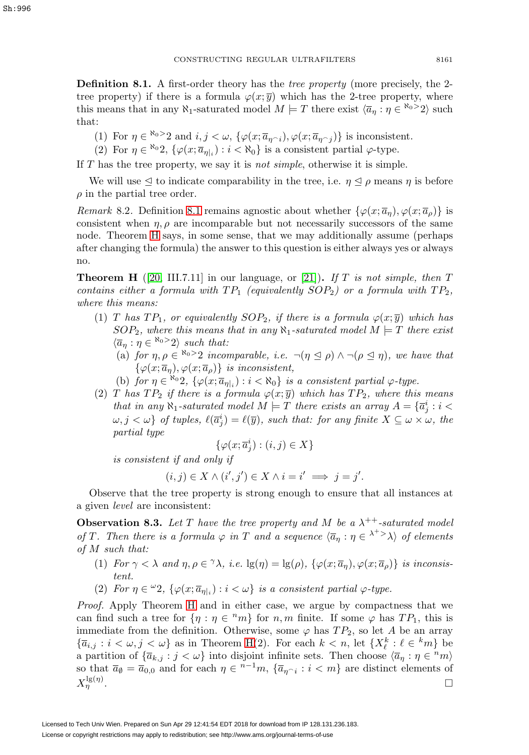Sh:996

<span id="page-22-0"></span>**Definition 8.1.** A first-order theory has the *tree property* (more precisely, the 2tree property) if there is a formula  $\varphi(x; \overline{y})$  which has the 2-tree property, where this means that in any  $\aleph_1$ -saturated model  $M \models T$  there exist  $\langle \overline{a}_\eta : \eta \in \aleph_0 > 2 \rangle$  such that:

- (1) For  $\eta \in \mathbb{R}^{30}$  and  $i, j < \omega$ ,  $\{\varphi(x; \overline{a}_{\eta \cap i}), \varphi(x; \overline{a}_{\eta \cap j})\}$  is inconsistent.
- (2) For  $\eta \in \mathbb{R}^0, \{\varphi(x; \overline{a}_{n_k}) : i < \mathbb{N}_0\}$  is a consistent partial  $\varphi$ -type.

If  $T$  has the tree property, we say it is *not simple*, otherwise it is simple.

We will use  $\leq$  to indicate comparability in the tree, i.e.  $\eta \leq \rho$  means  $\eta$  is before  $\rho$  in the partial tree order.

Remark 8.2. Definition [8.1](#page-22-0) remains agnostic about whether  $\{\varphi(x; \overline{a}_\eta), \varphi(x; \overline{a}_\rho)\}\$ is consistent when  $\eta$ ,  $\rho$  are incomparable but not necessarily successors of the same node. Theorem [H](#page-22-1) says, in some sense, that we may additionally assume (perhaps after changing the formula) the answer to this question is either always yes or always no.

<span id="page-22-1"></span>**Theorem H** ([\[20,](#page-34-5) III.7.11] in our language, or [\[21\]](#page-34-8)). If T is not simple, then T contains either a formula with  $TP_1$  (equivalently  $SOP_2$ ) or a formula with  $TP_2$ , where this means:

- (1) T has  $TP_1$ , or equivalently  $SOP_2$ , if there is a formula  $\varphi(x; \overline{y})$  which has  $SOP_2$ , where this means that in any  $\aleph_1$ -saturated model  $M \models T$  there exist  $\langle \overline{a}_\eta : \eta \in \mathbb{R}^{0} \rangle$  such that:
	- (a) for  $\eta$ ,  $\rho \in \mathbb{R}^{6>2}$  incomparable, i.e.  $\neg(\eta \leq \rho) \wedge \neg(\rho \leq \eta)$ , we have that  $\{\varphi(x;\overline{a}_\eta),\varphi(x;\overline{a}_\rho)\}\$ is inconsistent,
	- (b) for  $\eta \in \mathbb{R}^0, \{ \varphi(x; \overline{a}_{\eta|i}) : i < \mathbb{N}_0 \}$  is a consistent partial  $\varphi$ -type.
- (2) T has  $TP_2$  if there is a formula  $\varphi(x; \overline{y})$  which has  $TP_2$ , where this means that in any  $\aleph_1$ -saturated model  $M \models T$  there exists an array  $A = {\overline{a_j}} : i <$  $\{\omega, j \leq \omega\}$  of tuples,  $\ell(\overline{a}_j^i) = \ell(\overline{y})$ , such that: for any finite  $X \subseteq \omega \times \omega$ , the partial type

$$
\{\varphi(x; \overline{a}_j^i) : (i,j) \in X\}
$$

is consistent if and only if

$$
(i,j) \in X \land (i',j') \in X \land i = i' \implies j = j'.
$$

Observe that the tree property is strong enough to ensure that all instances at a given level are inconsistent:

<span id="page-22-2"></span>**Observation 8.3.** Let T have the tree property and M be a  $\lambda^{++}$ -saturated model of T. Then there is a formula  $\varphi$  in T and a sequence  $\langle \overline{a}_n : \eta \in \lambda^+ \rangle \setminus \{ \varphi \}$  elements of M such that:

- (1) For  $\gamma < \lambda$  and  $\eta, \rho \in \gamma \lambda$ , i.e.  $\lg(\eta) = \lg(\rho), \{\varphi(x; \overline{a}_\eta), \varphi(x; \overline{a}_\rho)\}\$ is inconsistent.
- (2) For  $\eta \in {}^{\omega}2$ ,  $\{\varphi(x; \overline{a}_{\eta|_i}) : i < \omega\}$  is a consistent partial  $\varphi$ -type.

Proof. Apply Theorem [H](#page-22-1) and in either case, we argue by compactness that we can find such a tree for  $\{\eta : \eta \in {}^nm\}$  for  $n, m$  finite. If some  $\varphi$  has  $TP_1$ , this is immediate from the definition. Otherwise, some  $\varphi$  has  $TP_2$ , so let A be an array  ${\overline{a}}_{i,j} : i < \omega, j < \omega$  as in Theorem [H\(](#page-22-1)2). For each  $k < n$ , let  $\{X_\ell^k : \ell \in {^k}m\}$  be a partition of  $\{\overline{a}_{k,j} : j < \omega\}$  into disjoint infinite sets. Then choose  $\langle \overline{a}_\eta : \eta \in {}^n m \rangle$ so that  $\overline{a}_{\emptyset} = \overline{a}_{0,0}$  and for each  $\eta \in {}^{n-1}m$ ,  $\{\overline{a}_{\eta \cap i} : i < m\}$  are distinct elements of  $X_{\eta}^{\lg(\eta)}$ . <sup>η</sup> . -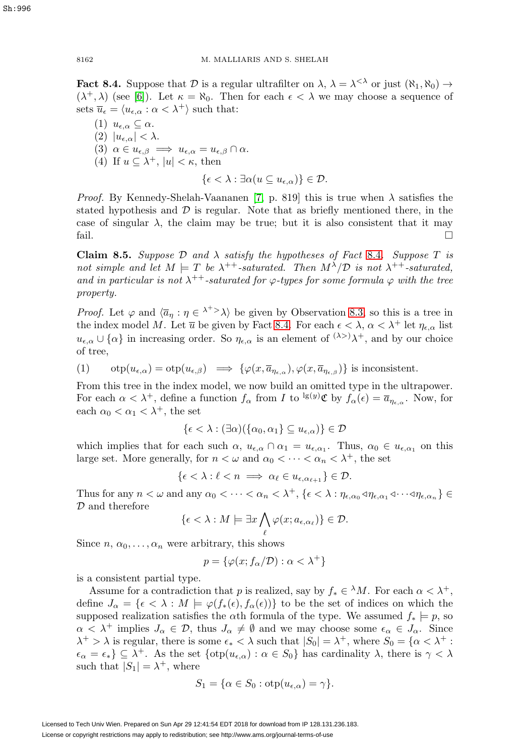<span id="page-23-0"></span>**Fact 8.4.** Suppose that  $\mathcal{D}$  is a regular ultrafilter on  $\lambda$ ,  $\lambda = \lambda^{<\lambda}$  or just  $(\aleph_1, \aleph_0) \rightarrow$  $(\lambda^+, \lambda)$  (see [\[6\]](#page-33-13)). Let  $\kappa = \aleph_0$ . Then for each  $\epsilon < \lambda$  we may choose a sequence of sets  $\overline{u}_{\epsilon} = \langle u_{\epsilon,\alpha} : \alpha < \lambda^+ \rangle$  such that:

(1)  $u_{\epsilon,\alpha} \subseteq \alpha$ . (2)  $|u_{\epsilon,\alpha}| < \lambda$ . (3)  $\alpha \in u_{\epsilon,\beta} \implies u_{\epsilon,\alpha} = u_{\epsilon,\beta} \cap \alpha.$ (4) If  $u \subseteq \lambda^+$ ,  $|u| < \kappa$ , then  $\{\epsilon < \lambda : \exists \alpha (u \subseteq u_{\epsilon,\alpha})\} \in \mathcal{D}.$ 

*Proof.* By Kennedy-Shelah-Vaananen [\[7,](#page-33-12) p. 819] this is true when  $\lambda$  satisfies the stated hypothesis and  $\mathcal D$  is regular. Note that as briefly mentioned there, in the case of singular  $\lambda$ , the claim may be true; but it is also consistent that it may fail.  $\Box$ 

**Claim 8.5.** Suppose  $\mathcal{D}$  and  $\lambda$  satisfy the hypotheses of Fact [8.4](#page-23-0). Suppose  $T$  is not simple and let  $M \models T$  be  $\lambda^{++}$ -saturated. Then  $M^{\lambda}/\mathcal{D}$  is not  $\lambda^{++}$ -saturated, and in particular is not  $\lambda^{++}$ -saturated for  $\varphi$ -types for some formula  $\varphi$  with the tree property.

*Proof.* Let  $\varphi$  and  $\langle \overline{a}_\eta : \eta \in \lambda^+ \rangle$  be given by Observation [8.3,](#page-22-2) so this is a tree in the index model M. Let  $\overline{u}$  be given by Fact [8.4.](#page-23-0) For each  $\epsilon < \lambda$ ,  $\alpha < \lambda^+$  let  $\eta_{\epsilon,\alpha}$  list  $u_{\epsilon,\alpha} \cup \{\alpha\}$  in increasing order. So  $\eta_{\epsilon,\alpha}$  is an element of  $(\lambda >)$  $\lambda$ <sup>+</sup>, and by our choice of tree,

<span id="page-23-1"></span>(1) 
$$
\text{otp}(u_{\epsilon,\alpha}) = \text{otp}(u_{\epsilon,\beta}) \implies \{\varphi(x,\overline{a}_{\eta_{\epsilon,\alpha}}), \varphi(x,\overline{a}_{\eta_{\epsilon,\beta}})\} \text{ is inconsistent.}
$$

From this tree in the index model, we now build an omitted type in the ultrapower. For each  $\alpha < \lambda^+$ , define a function  $f_\alpha$  from I to  $\lg(y)\mathfrak{C}$  by  $f_\alpha(\epsilon) = \overline{a}_{\eta_{\epsilon,\alpha}}$ . Now, for each  $\alpha_0 < \alpha_1 < \lambda^+$ , the set

$$
\{\epsilon < \lambda : (\exists \alpha)(\{\alpha_0, \alpha_1\} \subseteq u_{\epsilon,\alpha})\} \in \mathcal{D}
$$

which implies that for each such  $\alpha$ ,  $u_{\epsilon,\alpha} \cap \alpha_1 = u_{\epsilon,\alpha_1}$ . Thus,  $\alpha_0 \in u_{\epsilon,\alpha_1}$  on this large set. More generally, for  $n < \omega$  and  $\alpha_0 < \cdots < \alpha_n < \lambda^+$ , the set

$$
\{\epsilon < \lambda : \ell < n \implies \alpha_{\ell} \in u_{\epsilon, \alpha_{\ell+1}}\} \in \mathcal{D}.
$$

Thus for any  $n < \omega$  and any  $\alpha_0 < \cdots < \alpha_n < \lambda^+$ ,  $\{ \epsilon < \lambda : \eta_{\epsilon,\alpha_0} \triangleleft \eta_{\epsilon,\alpha_1} \triangleleft \cdots \triangleleft \eta_{\epsilon,\alpha_n} \}$  $D$  and therefore

$$
\{\epsilon < \lambda : M \models \exists x \bigwedge_{\ell} \varphi(x; a_{\epsilon,\alpha_{\ell}})\} \in \mathcal{D}.
$$

Since  $n, \alpha_0, \ldots, \alpha_n$  were arbitrary, this shows

$$
p = \{ \varphi(x; f_{\alpha}/\mathcal{D}) : \alpha < \lambda^+ \}
$$

is a consistent partial type.

Assume for a contradiction that p is realized, say by  $f_* \in \lambda M$ . For each  $\alpha < \lambda^+$ , define  $J_{\alpha} = \{ \epsilon \langle \lambda : M \models \varphi(f_*(\epsilon), f_{\alpha}(\epsilon)) \}$  to be the set of indices on which the supposed realization satisfies the  $\alpha$ th formula of the type. We assumed  $f_* \models p$ , so  $\alpha < \lambda^+$  implies  $J_\alpha \in \mathcal{D}$ , thus  $J_\alpha \neq \emptyset$  and we may choose some  $\epsilon_\alpha \in J_\alpha$ . Since  $\lambda^+ > \lambda$  is regular, there is some  $\epsilon_* < \lambda$  such that  $|S_0| = \lambda^+$ , where  $S_0 = {\alpha < \lambda^+ : \lambda^+ > \lambda^+}$  $\epsilon_{\alpha} = \epsilon_* \} \subseteq \lambda^+$ . As the set  $\{\text{otp}(u_{\epsilon,\alpha}) : \alpha \in S_0\}$  has cardinality  $\lambda$ , there is  $\gamma < \lambda$ such that  $|S_1| = \lambda^+$ , where

$$
S_1 = \{ \alpha \in S_0 : \text{otp}(u_{\epsilon,\alpha}) = \gamma \}.
$$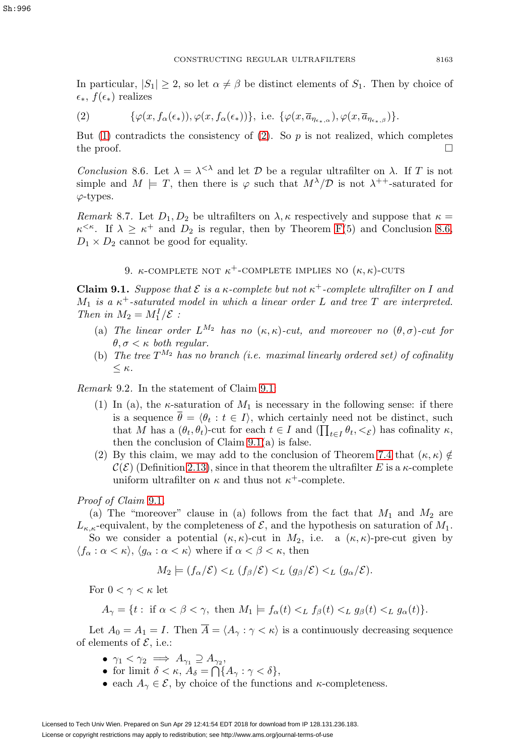In particular,  $|S_1| \geq 2$ , so let  $\alpha \neq \beta$  be distinct elements of  $S_1$ . Then by choice of  $\epsilon_*, f(\epsilon_*)$  realizes

<span id="page-24-3"></span>(2)  $\{\varphi(x, f_{\alpha}(\epsilon_{*})), \varphi(x, f_{\alpha}(\epsilon_{*}))\}, \text{ i.e. } \{\varphi(x, \overline{a}_{n_{\epsilon,\alpha}}), \varphi(x, \overline{a}_{n_{\epsilon,\beta}})\}.$ 

But [\(1\)](#page-23-1) contradicts the consistency of [\(2\)](#page-24-3). So  $p$  is not realized, which completes the proof.  $\Box$ 

<span id="page-24-1"></span>Conclusion 8.6. Let  $\lambda = \lambda^{<\lambda}$  and let D be a regular ultrafilter on  $\lambda$ . If T is not simple and  $M \models T$ , then there is  $\varphi$  such that  $M^{\lambda}/\mathcal{D}$  is not  $\lambda^{++}$ -saturated for  $\varphi$ -types.

Remark 8.7. Let  $D_1, D_2$  be ultrafilters on  $\lambda, \kappa$  respectively and suppose that  $\kappa =$  $\kappa^{\leq \kappa}$ . If  $\lambda \geq \kappa^+$  and  $D_2$  is regular, then by Theorem [F\(](#page-13-1)5) and Conclusion [8.6,](#page-24-1)  $D_1 \times D_2$  cannot be good for equality.

9.  $\kappa$ -complete not  $\kappa$ <sup>+</sup>-complete implies no  $(\kappa, \kappa)$ -cuts

<span id="page-24-2"></span><span id="page-24-0"></span>**Claim 9.1.** Suppose that  $\mathcal E$  is a  $\kappa$ -complete but not  $\kappa^+$ -complete ultrafilter on I and  $M_1$  is a  $\kappa^+$ -saturated model in which a linear order L and tree T are interpreted. Then in  $M_2 = M_1^I / \mathcal{E}$ :

- (a) The linear order  $L^{M_2}$  has no  $(\kappa, \kappa)$ -cut, and moreover no  $(\theta, \sigma)$ -cut for  $\theta, \sigma \lt \kappa$  both regular.
- (b) The tree  $T^{M_2}$  has no branch (i.e. maximal linearly ordered set) of cofinality  $<$   $\kappa$ .

Remark 9.2. In the statement of Claim [9.1:](#page-24-2)

- (1) In (a), the  $\kappa$ -saturation of  $M_1$  is necessary in the following sense: if there is a sequence  $\overline{\theta} = \langle \theta_t : t \in I \rangle$ , which certainly need not be distinct, such that M has a  $(\theta_t, \theta_t)$ -cut for each  $t \in I$  and  $(\prod_{t \in I} \theta_t, \langle \xi \rangle)$  has cofinality  $\kappa$ , then the conclusion of Claim  $9.1(a)$  is false.
- (2) By this claim, we may add to the conclusion of Theorem [7.4](#page-21-2) that  $(\kappa, \kappa) \notin$  $\mathcal{C}(\mathcal{E})$  (Definition [2.13\)](#page-10-1), since in that theorem the ultrafilter E is a  $\kappa$ -complete uniform ultrafilter on  $\kappa$  and thus not  $\kappa^+$ -complete.

## Proof of Claim [9.1](#page-24-2).

(a) The "moreover" clause in (a) follows from the fact that  $M_1$  and  $M_2$  are  $L_{\kappa,\kappa}$ -equivalent, by the completeness of  $\mathcal{E}$ , and the hypothesis on saturation of  $M_1$ .

So we consider a potential  $(\kappa, \kappa)$ -cut in  $M_2$ , i.e. a  $(\kappa, \kappa)$ -pre-cut given by  $\langle f_\alpha : \alpha < \kappa \rangle, \langle g_\alpha : \alpha < \kappa \rangle$  where if  $\alpha < \beta < \kappa$ , then

$$
M_2 \models (f_\alpha/\mathcal{E}) <_{L} (f_\beta/\mathcal{E}) <_{L} (g_\beta/\mathcal{E}) <_{L} (g_\alpha/\mathcal{E}).
$$

For  $0 < \gamma < \kappa$  let

$$
A_{\gamma} = \{ t : \text{ if } \alpha < \beta < \gamma, \text{ then } M_1 \models f_{\alpha}(t) <_{L} f_{\beta}(t) <_{L} g_{\beta}(t) <_{L} g_{\alpha}(t) \}.
$$

Let  $A_0 = A_1 = I$ . Then  $\overline{A} = \langle A_\gamma : \gamma < \kappa \rangle$  is a continuously decreasing sequence of elements of  $\mathcal{E}$ , i.e.:

- $\gamma_1 < \gamma_2 \implies A_{\gamma_1} \supseteq A_{\gamma_2}$
- for limit  $\delta < \kappa$ ,  $A_{\delta} = \bigcap \{A_{\gamma} : \gamma < \delta\},\$
- each  $A_{\gamma} \in \mathcal{E}$ , by choice of the functions and  $\kappa$ -completeness.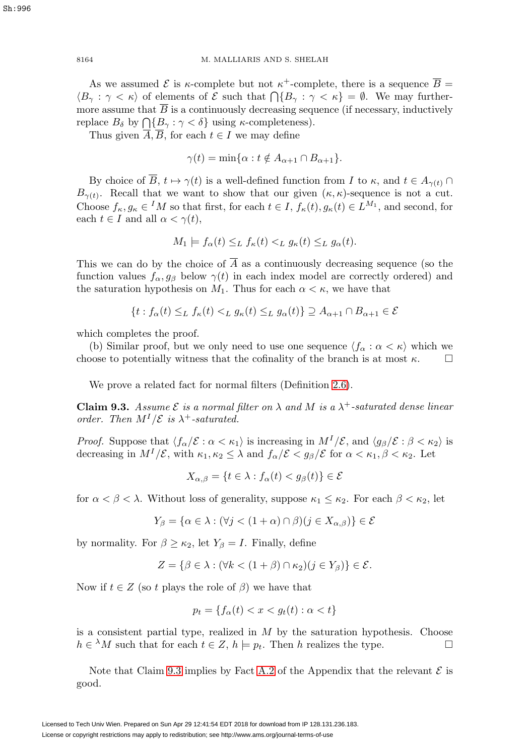8164 M. MALLIARIS AND S. SHELAH

As we assumed  $\mathcal E$  is  $\kappa$ -complete but not  $\kappa^+$ -complete, there is a sequence  $\overline{B}$  =  $\langle B_{\gamma} : \gamma < \kappa \rangle$  of elements of  $\mathcal E$  such that  $\bigcap \{B_{\gamma} : \gamma < \kappa\} = \emptyset$ . We may furthermore assume that  $\overline{B}$  is a continuously decreasing sequence (if necessary, inductively replace  $B_{\delta}$  by  $\bigcap \{B_{\gamma} : \gamma < \delta\}$  using  $\kappa$ -completeness).

Thus given  $\overline{A}, \overline{B}$ , for each  $t \in I$  we may define

 $\gamma(t) = \min\{\alpha : t \notin A_{\alpha+1} \cap B_{\alpha+1}\}.$ 

By choice of  $\overline{B}$ ,  $t \mapsto \gamma(t)$  is a well-defined function from I to  $\kappa$ , and  $t \in A_{\gamma(t)} \cap$  $B_{\gamma(t)}$ . Recall that we want to show that our given  $(\kappa, \kappa)$ -sequence is not a cut. Choose  $f_{\kappa}, g_{\kappa} \in M$  so that first, for each  $t \in I$ ,  $f_{\kappa}(t), g_{\kappa}(t) \in L^{M_1}$ , and second, for each  $t \in I$  and all  $\alpha < \gamma(t)$ ,

$$
M_1 \models f_\alpha(t) \leq_L f_\kappa(t) <_L g_\kappa(t) \leq_L g_\alpha(t).
$$

This we can do by the choice of  $\overline{A}$  as a continuously decreasing sequence (so the function values  $f_{\alpha}, g_{\beta}$  below  $\gamma(t)$  in each index model are correctly ordered) and the saturation hypothesis on  $M_1$ . Thus for each  $\alpha < \kappa$ , we have that

$$
\{t : f_{\alpha}(t) \leq_{L} f_{\kappa}(t) <_{L} g_{\kappa}(t) \leq_{L} g_{\alpha}(t)\} \supseteq A_{\alpha+1} \cap B_{\alpha+1} \in \mathcal{E}
$$

which completes the proof.

(b) Similar proof, but we only need to use one sequence  $\langle f_\alpha : \alpha < \kappa \rangle$  which we choose to potentially witness that the cofinality of the branch is at most  $\kappa$ .  $\Box$ 

We prove a related fact for normal filters (Definition [2.6\)](#page-9-1).

<span id="page-25-0"></span>**Claim 9.3.** Assume  $\mathcal{E}$  is a normal filter on  $\lambda$  and M is a  $\lambda^+$ -saturated dense linear order. Then  $M^I/\mathcal{E}$  is  $\lambda^+$ -saturated.

*Proof.* Suppose that  $\langle f_{\alpha}/\mathcal{E} : \alpha < \kappa_1 \rangle$  is increasing in  $M^I/\mathcal{E}$ , and  $\langle g_{\beta}/\mathcal{E} : \beta < \kappa_2 \rangle$  is decreasing in  $M^I/\mathcal{E}$ , with  $\kappa_1, \kappa_2 \leq \lambda$  and  $f_\alpha/\mathcal{E} < g_\beta/\mathcal{E}$  for  $\alpha < \kappa_1, \beta < \kappa_2$ . Let

$$
X_{\alpha,\beta} = \{ t \in \lambda : f_{\alpha}(t) < g_{\beta}(t) \} \in \mathcal{E}
$$

for  $\alpha < \beta < \lambda$ . Without loss of generality, suppose  $\kappa_1 \leq \kappa_2$ . For each  $\beta < \kappa_2$ , let

$$
Y_{\beta} = \{ \alpha \in \lambda : (\forall j < (1 + \alpha) \cap \beta)(j \in X_{\alpha, \beta}) \} \in \mathcal{E}
$$

by normality. For  $\beta \geq \kappa_2$ , let  $Y_\beta = I$ . Finally, define

$$
Z = \{ \beta \in \lambda : (\forall k < (1 + \beta) \cap \kappa_2)(j \in Y_\beta) \} \in \mathcal{E}.
$$

Now if  $t \in Z$  (so t plays the role of  $\beta$ ) we have that

$$
p_t = \{ f_\alpha(t) < x < g_t(t) : \alpha < t \}
$$

is a consistent partial type, realized in  $M$  by the saturation hypothesis. Choose  $h \in {}^{\lambda}M$  such that for each  $t \in Z$ ,  $h \models p_t$ . Then h realizes the type.  $\Box$ 

Note that Claim [9.3](#page-25-0) implies by Fact [A.2](#page-32-0) of the Appendix that the relevant  $\mathcal E$  is good.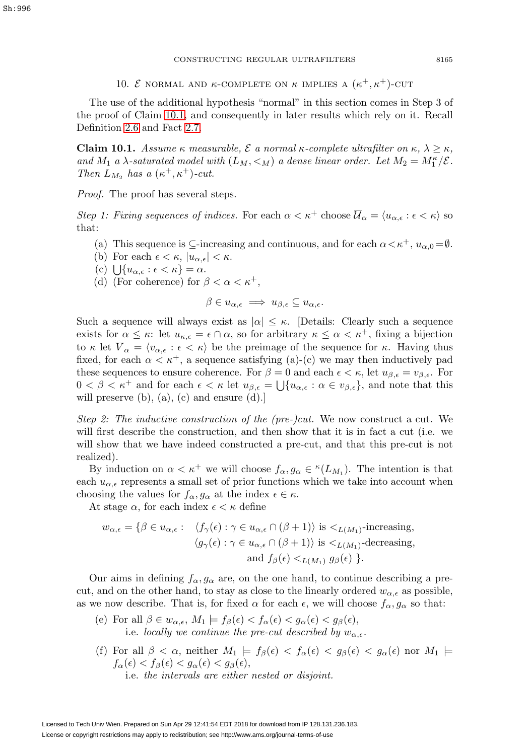Sh:996

<span id="page-26-0"></span>The use of the additional hypothesis "normal" in this section comes in Step 3 of the proof of Claim [10.1,](#page-26-1) and consequently in later results which rely on it. Recall Definition [2.6](#page-9-1) and Fact [2.7.](#page-9-2)

<span id="page-26-1"></span>**Claim 10.1.** Assume  $\kappa$  measurable,  $\mathcal{E}$  a normal  $\kappa$ -complete ultrafilter on  $\kappa$ ,  $\lambda \geq \kappa$ , and  $M_1$  a  $\lambda$ -saturated model with  $(L_M, \leq_M)$  a dense linear order. Let  $M_2 = M_1^{\kappa}/\mathcal{E}$ . Then  $L_{M_2}$  has a  $(\kappa^+, \kappa^+)$ -cut.

Proof. The proof has several steps.

Step 1: Fixing sequences of indices. For each  $\alpha < \kappa^+$  choose  $\overline{\mathcal{U}}_{\alpha} = \langle u_{\alpha,\epsilon} : \epsilon < \kappa \rangle$  so that:

- (a) This sequence is  $\subseteq$ -increasing and continuous, and for each  $\alpha < \kappa^+$ ,  $u_{\alpha,0} = \emptyset$ .
- (b) For each  $\epsilon < \kappa$ ,  $|u_{\alpha,\epsilon}| < \kappa$ .
- (c)  $\bigcup \{u_{\alpha,\epsilon} : \epsilon < \kappa\} = \alpha.$
- (d) (For coherence) for  $\beta < \alpha < \kappa^+,$

$$
\beta \in u_{\alpha,\epsilon} \implies u_{\beta,\epsilon} \subseteq u_{\alpha,\epsilon}.
$$

Such a sequence will always exist as  $|\alpha| \leq \kappa$ . [Details: Clearly such a sequence exists for  $\alpha \leq \kappa$ : let  $u_{\kappa,\epsilon} = \epsilon \cap \alpha$ , so for arbitrary  $\kappa \leq \alpha < \kappa^+$ , fixing a bijection to  $\kappa$  let  $\overline{V}_{\alpha} = \langle v_{\alpha,\epsilon} : \epsilon \langle \kappa \rangle$  be the preimage of the sequence for  $\kappa$ . Having thus fixed, for each  $\alpha < \kappa^+$ , a sequence satisfying (a)-(c) we may then inductively pad these sequences to ensure coherence. For  $\beta = 0$  and each  $\epsilon < \kappa$ , let  $u_{\beta,\epsilon} = v_{\beta,\epsilon}$ . For  $0 < \beta < \kappa^+$  and for each  $\epsilon < \kappa$  let  $u_{\beta,\epsilon} = \bigcup \{u_{\alpha,\epsilon} : \alpha \in v_{\beta,\epsilon}\}\)$ , and note that this will preserve (b), (a), (c) and ensure (d).

Step 2: The inductive construction of the (pre-)cut. We now construct a cut. We will first describe the construction, and then show that it is in fact a cut (i.e. we will show that we have indeed constructed a pre-cut, and that this pre-cut is not realized).

By induction on  $\alpha < \kappa^+$  we will choose  $f_\alpha, g_\alpha \in {\kappa}(L_{M_1})$ . The intention is that each  $u_{\alpha,\epsilon}$  represents a small set of prior functions which we take into account when choosing the values for  $f_{\alpha}, g_{\alpha}$  at the index  $\epsilon \in \kappa$ .

At stage  $\alpha$ , for each index  $\epsilon < \kappa$  define

$$
w_{\alpha,\epsilon} = \{ \beta \in u_{\alpha,\epsilon} : \langle f_{\gamma}(\epsilon) : \gamma \in u_{\alpha,\epsilon} \cap (\beta + 1) \rangle \text{ is } <_{L(M_1)} \text{-increasing,}
$$
  

$$
\langle g_{\gamma}(\epsilon) : \gamma \in u_{\alpha,\epsilon} \cap (\beta + 1) \rangle \text{ is } <_{L(M_1)} \text{-decreasing,}
$$
  
and  $f_{\beta}(\epsilon) <_{L(M_1)} g_{\beta}(\epsilon) \}$ .

Our aims in defining  $f_{\alpha}, g_{\alpha}$  are, on the one hand, to continue describing a precut, and on the other hand, to stay as close to the linearly ordered  $w_{\alpha,\epsilon}$  as possible, as we now describe. That is, for fixed  $\alpha$  for each  $\epsilon$ , we will choose  $f_{\alpha}, g_{\alpha}$  so that:

- (e) For all  $\beta \in w_{\alpha,\epsilon}$ ,  $M_1 \models f_{\beta}(\epsilon) < f_{\alpha}(\epsilon) < g_{\alpha}(\epsilon) < g_{\beta}(\epsilon)$ , i.e. locally we continue the pre-cut described by  $w_{\alpha,\epsilon}$ .
- (f) For all  $\beta < \alpha$ , neither  $M_1 \models f_\beta(\epsilon) < f_\alpha(\epsilon) < g_\beta(\epsilon) < g_\alpha(\epsilon)$  nor  $M_1 \models$  $f_{\alpha}(\epsilon) < f_{\beta}(\epsilon) < g_{\alpha}(\epsilon) < g_{\beta}(\epsilon),$ i.e. the intervals are either nested or disjoint.

Licensed to Tech Univ Wien. Prepared on Sun Apr 29 12:41:54 EDT 2018 for download from IP 128.131.236.183. License or copyright restrictions may apply to redistribution; see http://www.ams.org/journal-terms-of-use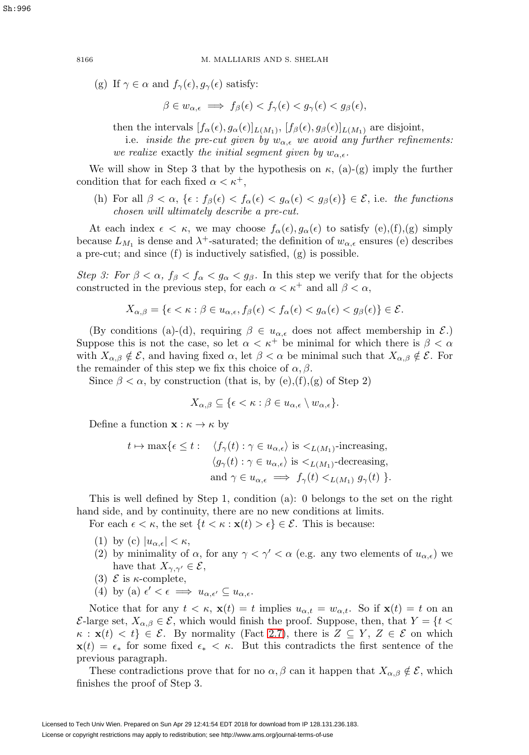(g) If  $\gamma \in \alpha$  and  $f_{\gamma}(\epsilon), g_{\gamma}(\epsilon)$  satisfy:

 $\beta \in w_{\alpha,\epsilon} \implies f_{\beta}(\epsilon) < f_{\gamma}(\epsilon) < g_{\gamma}(\epsilon) < g_{\beta}(\epsilon),$ 

then the intervals  $[f_{\alpha}(\epsilon), g_{\alpha}(\epsilon)]_{L(M_1)}$ ,  $[f_{\beta}(\epsilon), g_{\beta}(\epsilon)]_{L(M_1)}$  are disjoint,

i.e. inside the pre-cut given by  $w_{\alpha,\epsilon}$  we avoid any further refinements: we realize exactly the initial segment given by  $w_{\alpha,\epsilon}$ .

We will show in Step 3 that by the hypothesis on  $\kappa$ , (a)-(g) imply the further condition that for each fixed  $\alpha < \kappa^+,$ 

(h) For all  $\beta < \alpha$ ,  $\{\epsilon : f_{\beta}(\epsilon) < f_{\alpha}(\epsilon) < g_{\alpha}(\epsilon) < g_{\beta}(\epsilon)\}\in \mathcal{E}$ , i.e. the functions chosen will ultimately describe a pre-cut.

At each index  $\epsilon < \kappa$ , we may choose  $f_{\alpha}(\epsilon), g_{\alpha}(\epsilon)$  to satisfy  $(e), (f), (g)$  simply because  $L_{M_1}$  is dense and  $\lambda^+$ -saturated; the definition of  $w_{\alpha,\epsilon}$  ensures (e) describes a pre-cut; and since (f) is inductively satisfied, (g) is possible.

Step 3: For  $\beta < \alpha$ ,  $f_{\beta} < f_{\alpha} < g_{\alpha} < g_{\beta}$ . In this step we verify that for the objects constructed in the previous step, for each  $\alpha < \kappa^+$  and all  $\beta < \alpha$ ,

$$
X_{\alpha,\beta} = \{ \epsilon < \kappa : \beta \in u_{\alpha,\epsilon}, f_{\beta}(\epsilon) < f_{\alpha}(\epsilon) < g_{\alpha}(\epsilon) < g_{\beta}(\epsilon) \} \in \mathcal{E}.
$$

(By conditions (a)-(d), requiring  $\beta \in u_{\alpha,\epsilon}$  does not affect membership in  $\mathcal{E}$ .) Suppose this is not the case, so let  $\alpha < \kappa^+$  be minimal for which there is  $\beta < \alpha$ with  $X_{\alpha,\beta} \notin \mathcal{E}$ , and having fixed  $\alpha$ , let  $\beta < \alpha$  be minimal such that  $X_{\alpha,\beta} \notin \mathcal{E}$ . For the remainder of this step we fix this choice of  $\alpha, \beta$ .

Since  $\beta < \alpha$ , by construction (that is, by (e),(f),(g) of Step 2)

$$
X_{\alpha,\beta} \subseteq \{ \epsilon < \kappa : \beta \in u_{\alpha,\epsilon} \setminus w_{\alpha,\epsilon} \}.
$$

Define a function  $\mathbf{x} : \kappa \to \kappa$  by

$$
t \mapsto \max\{\epsilon \le t: \quad \langle f_{\gamma}(t) : \gamma \in u_{\alpha,\epsilon}\rangle \text{ is } \langle L(M_1) \text{-increasing},
$$

$$
\langle g_{\gamma}(t) : \gamma \in u_{\alpha,\epsilon}\rangle \text{ is } \langle L(M_1) \text{-decreasing},
$$

$$
\text{and } \gamma \in u_{\alpha,\epsilon} \implies f_{\gamma}(t) \langle L(M_1) g_{\gamma}(t) \rangle.
$$

This is well defined by Step 1, condition (a): 0 belongs to the set on the right hand side, and by continuity, there are no new conditions at limits.

For each  $\epsilon < \kappa$ , the set  $\{t < \kappa : \mathbf{x}(t) > \epsilon\} \in \mathcal{E}$ . This is because:

- (1) by (c)  $|u_{\alpha,\epsilon}| < \kappa$ ,
- (2) by minimality of  $\alpha$ , for any  $\gamma < \gamma' < \alpha$  (e.g. any two elements of  $u_{\alpha,\epsilon}$ ) we have that  $X_{\gamma,\gamma'} \in \mathcal{E}$ ,
- (3)  $\mathcal E$  is  $\kappa$ -complete,
- (4) by (a)  $\epsilon' < \epsilon \implies u_{\alpha,\epsilon'} \subseteq u_{\alpha,\epsilon}$ .

Notice that for any  $t < \kappa$ ,  $\mathbf{x}(t) = t$  implies  $u_{\alpha,t} = w_{\alpha,t}$ . So if  $\mathbf{x}(t) = t$  on an  $\mathcal{E}$ -large set,  $X_{\alpha,\beta} \in \mathcal{E}$ , which would finish the proof. Suppose, then, that  $Y = \{t \leq \beta \leq T\}$  $\kappa : \mathbf{x}(t) < t$   $\in \mathcal{E}$ . By normality (Fact [2.7\)](#page-9-2), there is  $Z \subseteq Y$ ,  $Z \in \mathcal{E}$  on which  $\mathbf{x}(t) = \epsilon_*$  for some fixed  $\epsilon_* < \kappa$ . But this contradicts the first sentence of the previous paragraph.

These contradictions prove that for no  $\alpha, \beta$  can it happen that  $X_{\alpha,\beta} \notin \mathcal{E}$ , which finishes the proof of Step 3.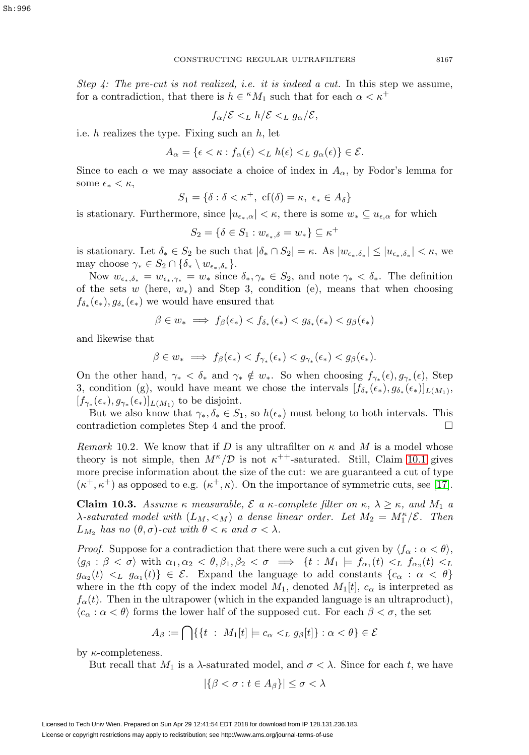Step 4: The pre-cut is not realized, i.e. it is indeed a cut. In this step we assume, for a contradiction, that there is  $h \in {}^{\kappa}M_1$  such that for each  $\alpha < \kappa^+$ 

$$
f_{\alpha}/\mathcal{E} <_{L} h/\mathcal{E} <_{L} g_{\alpha}/\mathcal{E},
$$

i.e.  $h$  realizes the type. Fixing such an  $h$ , let

$$
A_{\alpha} = \{ \epsilon < \kappa : f_{\alpha}(\epsilon) <_{L} h(\epsilon) <_{L} g_{\alpha}(\epsilon) \} \in \mathcal{E}.
$$

Since to each  $\alpha$  we may associate a choice of index in  $A_{\alpha}$ , by Fodor's lemma for some  $\epsilon_* < \kappa$ ,

$$
S_1 = \{ \delta : \delta < \kappa^+, \text{ cf}(\delta) = \kappa, \ \epsilon_* \in A_\delta \}
$$

is stationary. Furthermore, since  $|u_{\epsilon_*,\alpha}| < \kappa$ , there is some  $w_* \subseteq u_{\epsilon,\alpha}$  for which

$$
S_2 = \{ \delta \in S_1 : w_{\epsilon_*,\delta} = w_* \} \subseteq \kappa^+
$$

is stationary. Let  $\delta_* \in S_2$  be such that  $|\delta_* \cap S_2| = \kappa$ . As  $|w_{\epsilon_*,\delta_*}| \leq |u_{\epsilon_*,\delta_*}| < \kappa$ , we may choose  $\gamma_* \in S_2 \cap \{\delta_* \setminus w_{\epsilon_*,\delta_*}\}.$ 

Now  $w_{\epsilon_*,\delta_*} = w_{\epsilon_*,\gamma_*} = w_*$  since  $\delta_*,\gamma_* \in S_2$ , and note  $\gamma_* < \delta_*$ . The definition of the sets w (here,  $w_*$ ) and Step 3, condition (e), means that when choosing  $f_{\delta_*}(\epsilon_*), g_{\delta_*}(\epsilon_*)$  we would have ensured that

$$
\beta \in w_* \implies f_\beta(\epsilon_*) < f_{\delta_*}(\epsilon_*) < g_{\delta_*}(\epsilon_*) < g_\beta(\epsilon_*)
$$

and likewise that

$$
\beta \in w_* \implies f_\beta(\epsilon_*) < f_{\gamma_*}(\epsilon_*) < g_{\gamma_*}(\epsilon_*) < g_\beta(\epsilon_*).
$$

On the other hand,  $\gamma_* < \delta_*$  and  $\gamma_* \notin w_*$ . So when choosing  $f_{\gamma_*}(\epsilon), g_{\gamma_*}(\epsilon)$ , Step 3, condition (g), would have meant we chose the intervals  $[f_{\delta_*}(\epsilon_*), g_{\delta_*}(\epsilon_*)]_{L(M_1)}$ ,  $[f_{\gamma_*}(\epsilon_*), g_{\gamma_*}(\epsilon_*)]_{L(M_1)}$  to be disjoint.

But we also know that  $\gamma_*, \delta_* \in S_1$ , so  $h(\epsilon_*)$  must belong to both intervals. This contradiction completes Step 4 and the proof.  $\Box$ 

Remark 10.2. We know that if D is any ultrafilter on  $\kappa$  and M is a model whose theory is not simple, then  $M^{\kappa}/\mathcal{D}$  is not  $\kappa^{++}$ -saturated. Still, Claim [10.1](#page-26-1) gives more precise information about the size of the cut: we are guaranteed a cut of type  $(\kappa^+, \kappa^+)$  as opposed to e.g.  $(\kappa^+, \kappa)$ . On the importance of symmetric cuts, see [\[17\]](#page-34-3).

**Claim 10.3.** Assume  $\kappa$  measurable,  $\mathcal{E}$  a  $\kappa$ -complete filter on  $\kappa$ ,  $\lambda \geq \kappa$ , and  $M_1$  a  $\lambda$ -saturated model with  $(L_M, \leq_M)$  a dense linear order. Let  $M_2 = M_1^{\kappa}/\mathcal{E}$ . Then  $L_{M_2}$  has no  $(\theta, \sigma)$ -cut with  $\theta < \kappa$  and  $\sigma < \lambda$ .

*Proof.* Suppose for a contradiction that there were such a cut given by  $\langle f_{\alpha} : \alpha < \theta \rangle$ ,  $\langle g_\beta : \beta < \sigma \rangle$  with  $\alpha_1, \alpha_2 < \theta, \beta_1, \beta_2 < \sigma \implies \{t : M_1 \models f_{\alpha_1}(t) <_L f_{\alpha_2}(t) <_L \}$  $g_{\alpha_2}(t) <_L g_{\alpha_1}(t) \in \mathcal{E}$ . Expand the language to add constants  $\{c_\alpha : \alpha < \theta\}$ where in the tth copy of the index model  $M_1$ , denoted  $M_1[t]$ ,  $c_\alpha$  is interpreted as  $f_{\alpha}(t)$ . Then in the ultrapower (which in the expanded language is an ultraproduct),  $\langle c_{\alpha} : \alpha < \theta \rangle$  forms the lower half of the supposed cut. For each  $\beta < \sigma$ , the set

$$
A_{\beta} := \bigcap \{ \{ t \ : \ M_1[t] \models c_{\alpha} <_{L} g_{\beta}[t] \} : \alpha < \theta \} \in \mathcal{E}
$$

by  $\kappa$ -completeness.

But recall that  $M_1$  is a  $\lambda$ -saturated model, and  $\sigma < \lambda$ . Since for each t, we have

$$
|\{\beta < \sigma : t \in A_{\beta}\}| \le \sigma < \lambda
$$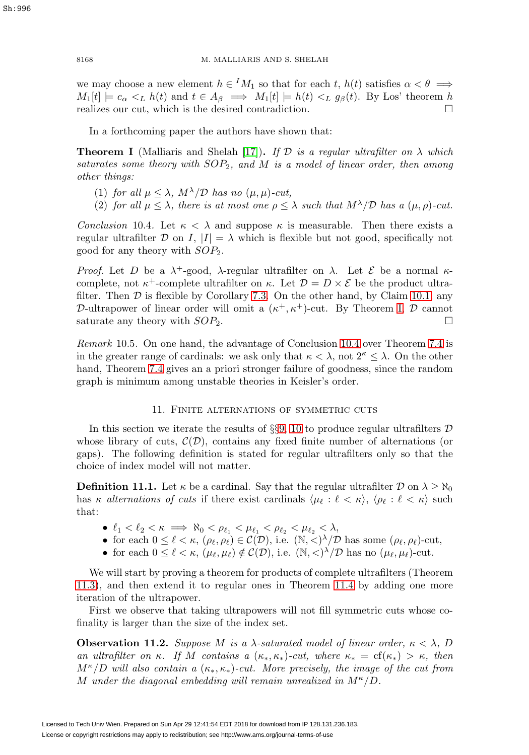we may choose a new element  $h \in M_1$  so that for each t,  $h(t)$  satisfies  $\alpha < \theta \implies$  $M_1[t] \models c_\alpha \leq_L h(t)$  and  $t \in A_\beta \implies M_1[t] \models h(t) \leq_L g_\beta(t)$ . By Los' theorem h realizes our cut, which is the desired contradiction.  $\Box$ 

In a forthcoming paper the authors have shown that:

<span id="page-29-2"></span>**Theorem I** (Malliaris and Shelah [\[17\]](#page-34-3)). If  $\mathcal D$  is a regular ultrafilter on  $\lambda$  which saturates some theory with  $SOP_2$ , and M is a model of linear order, then among other things:

- (1) for all  $\mu \leq \lambda$ ,  $M^{\lambda}/\mathcal{D}$  has no  $(\mu, \mu)$ -cut,
- (2) for all  $\mu \leq \lambda$ , there is at most one  $\rho \leq \lambda$  such that  $M^{\lambda}/\mathcal{D}$  has a  $(\mu, \rho)$ -cut.

<span id="page-29-1"></span>Conclusion 10.4. Let  $\kappa < \lambda$  and suppose  $\kappa$  is measurable. Then there exists a regular ultrafilter  $D$  on I,  $|I| = \lambda$  which is flexible but not good, specifically not good for any theory with  $SOP<sub>2</sub>$ .

Proof. Let D be a  $\lambda^+$ -good,  $\lambda$ -regular ultrafilter on  $\lambda$ . Let E be a normal  $\kappa$ complete, not  $\kappa^+$ -complete ultrafilter on  $\kappa$ . Let  $\mathcal{D} = D \times \mathcal{E}$  be the product ultrafilter. Then  $\mathcal D$  is flexible by Corollary [7.3.](#page-21-1) On the other hand, by Claim [10.1,](#page-26-1) any D-ultrapower of linear order will omit a  $(\kappa^+, \kappa^+)$ -cut. By Theorem [I,](#page-29-2) D cannot saturate any theory with  $SOP<sub>2</sub>$ .  $\Box$ 

Remark 10.5. On one hand, the advantage of Conclusion [10.4](#page-29-1) over Theorem [7.4](#page-21-2) is in the greater range of cardinals: we ask only that  $\kappa < \lambda$ , not  $2^{\kappa} \leq \lambda$ . On the other hand, Theorem [7.4](#page-21-2) gives an a priori stronger failure of goodness, since the random graph is minimum among unstable theories in Keisler's order.

## 11. Finite alternations of symmetric cuts

<span id="page-29-0"></span>In this section we iterate the results of  $\S$ §[9,](#page-24-0) [10](#page-26-0) to produce regular ultrafilters  $\mathcal D$ whose library of cuts,  $\mathcal{C}(\mathcal{D})$ , contains any fixed finite number of alternations (or gaps). The following definition is stated for regular ultrafilters only so that the choice of index model will not matter.

**Definition 11.1.** Let  $\kappa$  be a cardinal. Say that the regular ultrafilter  $\mathcal{D}$  on  $\lambda > \aleph_0$ has  $\kappa$  alternations of cuts if there exist cardinals  $\langle \mu_{\ell} : \ell \langle \kappa \rangle, \langle \rho_{\ell} : \ell \langle \kappa \rangle$  such that:

- $\bullet \enspace \ell_1 < \ell_2 < \kappa \implies \aleph_0 < \rho_{\ell_1} < \mu_{\ell_1} < \rho_{\ell_2} < \mu_{\ell_2} < \lambda,$
- for each  $0 \leq \ell < \kappa$ ,  $(\rho_{\ell}, \rho_{\ell}) \in C(\mathcal{D})$ , i.e.  $(\mathbb{N}, \leq)$   $\negthinspace \nearrow$   $\negthinspace \mathcal{D}$  has some  $(\rho_{\ell}, \rho_{\ell})$ -cut,
- for each  $0 \leq \ell < \kappa$ ,  $(\mu_{\ell}, \mu_{\ell}) \notin \mathcal{C}(\mathcal{D})$ , i.e.  $(\mathbb{N}, \langle \rangle^{\lambda}/\mathcal{D})$  has no  $(\mu_{\ell}, \mu_{\ell})$ -cut.

We will start by proving a theorem for products of complete ultrafilters (Theorem [11.3\)](#page-30-0), and then extend it to regular ones in Theorem [11.4](#page-31-1) by adding one more iteration of the ultrapower.

First we observe that taking ultrapowers will not fill symmetric cuts whose cofinality is larger than the size of the index set.

<span id="page-29-3"></span>**Observation 11.2.** Suppose M is a  $\lambda$ -saturated model of linear order,  $\kappa < \lambda$ , D an ultrafilter on κ. If M contains a  $(\kappa_*, \kappa_*)$ -cut, where  $\kappa_* = \text{cf}(\kappa_*) > \kappa$ , then  $M^{\kappa}/D$  will also contain a  $(\kappa_*, \kappa_*)$ -cut. More precisely, the image of the cut from M under the diagonal embedding will remain unrealized in  $M^{\kappa}/D$ .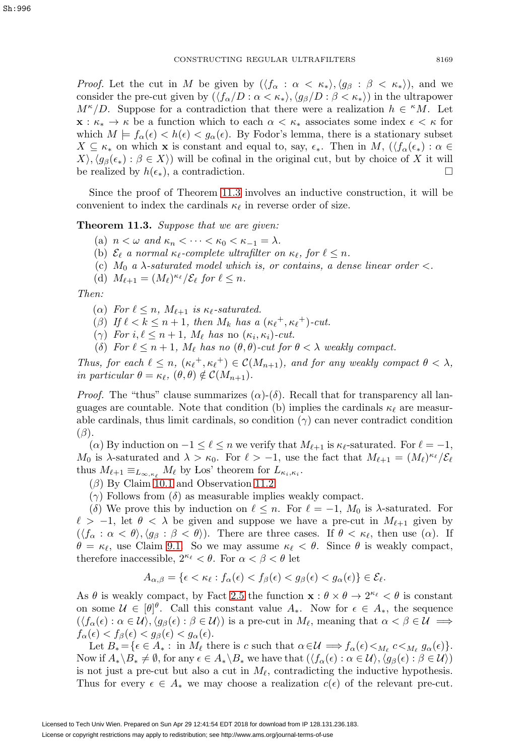*Proof.* Let the cut in M be given by  $(\langle f_{\alpha} : \alpha < \kappa_* \rangle, \langle g_{\beta} : \beta < \kappa_* \rangle)$ , and we consider the pre-cut given by  $(\langle f_{\alpha}/D : \alpha < \kappa_* \rangle, \langle g_{\beta}/D : \beta < \kappa_* \rangle)$  in the ultrapower  $M^{\kappa}/D$ . Suppose for a contradiction that there were a realization  $h \in {\kappa}M$ . Let **x** :  $\kappa_* \to \kappa$  be a function which to each  $\alpha < \kappa_*$  associates some index  $\epsilon < \kappa$  for which  $M \models f_\alpha(\epsilon) < h(\epsilon) < g_\alpha(\epsilon)$ . By Fodor's lemma, there is a stationary subset  $X \subseteq \kappa_*$  on which **x** is constant and equal to, say,  $\epsilon_*$ . Then in M,  $(\langle f_\alpha(\epsilon_*) : \alpha \in$  $X\rangle, \langle g_{\beta}(\epsilon_*) : \beta \in X\rangle$  will be cofinal in the original cut, but by choice of X it will be realized by  $h(\epsilon_*)$ , a contradiction.  $\Box$ 

Since the proof of Theorem [11.3](#page-30-0) involves an inductive construction, it will be convenient to index the cardinals  $\kappa_{\ell}$  in reverse order of size.

<span id="page-30-0"></span>**Theorem 11.3.** Suppose that we are given:

- (a)  $n < \omega$  and  $\kappa_n < \cdots < \kappa_0 < \kappa_{-1} = \lambda$ .
- (b)  $\mathcal{E}_{\ell}$  a normal  $\kappa_{\ell}$ -complete ultrafilter on  $\kappa_{\ell}$ , for  $\ell \leq n$ .
- (c)  $M_0$  a  $\lambda$ -saturated model which is, or contains, a dense linear order  $\lt$ .
- (d)  $M_{\ell+1} = (M_{\ell})^{\kappa_{\ell}} / \mathcal{E}_{\ell}$  for  $\ell \leq n$ .

Then:

- ( $\alpha$ ) For  $\ell \leq n$ ,  $M_{\ell+1}$  is  $\kappa_{\ell}$ -saturated.
- ( $\beta$ ) If  $\ell < k \leq n+1$ , then  $M_k$  has a  $(\kappa_{\ell}^+, \kappa_{\ell}^+)$ -cut.
- ( $\gamma$ ) For  $i, \ell \leq n+1$ , M<sub>l</sub> has no  $(\kappa_i, \kappa_i)$ -cut.
- (δ) For  $\ell \leq n+1$ ,  $M_{\ell}$  has no  $(\theta, \theta)$ -cut for  $\theta < \lambda$  weakly compact.

Thus, for each  $\ell \leq n$ ,  $(\kappa_{\ell}^+, \kappa_{\ell}^+) \in C(M_{n+1})$ , and for any weakly compact  $\theta < \lambda$ , in particular  $\theta = \kappa_{\ell}, (\theta, \theta) \notin \mathcal{C}(M_{n+1}).$ 

*Proof.* The "thus" clause summarizes  $(\alpha)$ - $(\delta)$ . Recall that for transparency all languages are countable. Note that condition (b) implies the cardinals  $\kappa_{\ell}$  are measurable cardinals, thus limit cardinals, so condition  $(\gamma)$  can never contradict condition  $(\beta)$ .

( $\alpha$ ) By induction on  $-1 \leq \ell \leq n$  we verify that  $M_{\ell+1}$  is  $\kappa_{\ell}$ -saturated. For  $\ell = -1$ , M<sub>0</sub> is  $\lambda$ -saturated and  $\lambda > \kappa_0$ . For  $\ell > -1$ , use the fact that  $M_{\ell+1} = (M_{\ell})^{\kappa_{\ell}}/\mathcal{E}_{\ell}$ thus  $M_{\ell+1} \equiv_{L_{\infty,\kappa_{\ell}}} M_{\ell}$  by Los' theorem for  $L_{\kappa_i,\kappa_i}$ .

- $(\beta)$  By Claim [10.1](#page-26-1) and Observation [11.2.](#page-29-3)
- (γ) Follows from (δ) as measurable implies weakly compact.

(δ) We prove this by induction on  $\ell \leq n$ . For  $\ell = -1$ ,  $M_0$  is  $\lambda$ -saturated. For  $\ell > -1$ , let  $\theta < \lambda$  be given and suppose we have a pre-cut in  $M_{\ell+1}$  given by  $(\langle f_\alpha : \alpha < \theta \rangle, \langle g_\beta : \beta < \theta \rangle)$ . There are three cases. If  $\theta < \kappa_\ell$ , then use  $(\alpha)$ . If  $\theta = \kappa_{\ell}$ , use Claim [9.1.](#page-24-2) So we may assume  $\kappa_{\ell} < \theta$ . Since  $\theta$  is weakly compact, therefore inaccessible,  $2^{\kappa_{\ell}} < \theta$ . For  $\alpha < \beta < \theta$  let

$$
A_{\alpha,\beta} = \{ \epsilon < \kappa_\ell : f_\alpha(\epsilon) < f_\beta(\epsilon) < g_\beta(\epsilon) < g_\alpha(\epsilon) \} \in \mathcal{E}_\ell.
$$

As  $\theta$  is weakly compact, by Fact [2.5](#page-9-3) the function  $\mathbf{x} : \theta \times \theta \to 2^{\kappa_{\ell}} < \theta$  is constant on some  $\mathcal{U} \in [\theta]^\theta$ . Call this constant value  $A_*$ . Now for  $\epsilon \in A_*$ , the sequence  $(\langle f_\alpha(\epsilon) : \alpha \in \mathcal{U}, \langle g_\beta(\epsilon) : \beta \in \mathcal{U} \rangle)$  is a pre-cut in  $M_\ell$ , meaning that  $\alpha < \beta \in \mathcal{U} \implies$  $f_{\alpha}(\epsilon) < f_{\beta}(\epsilon) < g_{\beta}(\epsilon) < g_{\alpha}(\epsilon).$ 

Let  $B_* = \{ \epsilon \in A_* : \text{ in } M_\ell \text{ there is } c \text{ such that } \alpha \in \mathcal{U} \implies f_\alpha(\epsilon) \leq_{M_\ell} c \leq_{M_\ell} g_\alpha(\epsilon) \}.$ Now if  $A_* \setminus B_* \neq \emptyset$ , for any  $\epsilon \in A_* \setminus B_*$  we have that  $( \langle f_\alpha(\epsilon) : \alpha \in \mathcal{U} \rangle, \langle g_\beta(\epsilon) : \beta \in \mathcal{U} \rangle )$ is not just a pre-cut but also a cut in  $M_{\ell}$ , contradicting the inductive hypothesis. Thus for every  $\epsilon \in A_*$  we may choose a realization  $c(\epsilon)$  of the relevant pre-cut.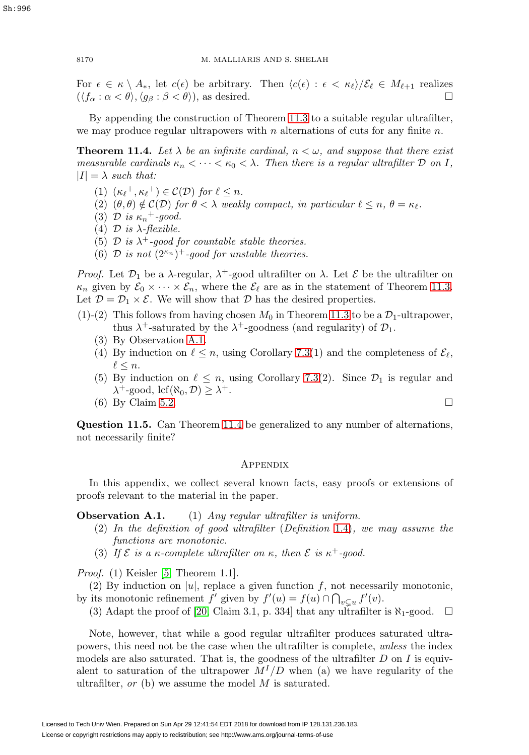For  $\epsilon \in \kappa \setminus A_*$ , let  $c(\epsilon)$  be arbitrary. Then  $\langle c(\epsilon) : \epsilon \langle \kappa \epsilon \rangle / \mathcal{E}_{\ell} \in M_{\ell+1}$  realizes  $(\langle f, \cdot \alpha \langle \epsilon \rangle \setminus \alpha \langle \epsilon \rangle)$  as desired  $(\langle f_{\alpha} : \alpha < \theta \rangle, \langle g_{\beta} : \beta < \theta \rangle),$  as desired.

By appending the construction of Theorem [11.3](#page-30-0) to a suitable regular ultrafilter, we may produce regular ultrapowers with n alternations of cuts for any finite  $n$ .

<span id="page-31-1"></span>**Theorem 11.4.** Let  $\lambda$  be an infinite cardinal,  $n < \omega$ , and suppose that there exist measurable cardinals  $\kappa_n < \cdots < \kappa_0 < \lambda$ . Then there is a regular ultrafilter  $\mathcal D$  on I,  $|I| = \lambda$  such that:

- (1)  $(\kappa_{\ell}^+, \kappa_{\ell}^+) \in C(\mathcal{D})$  for  $\ell \leq n$ .
- (2)  $(\theta, \theta) \notin C(\mathcal{D})$  for  $\theta < \lambda$  weakly compact, in particular  $\ell \leq n, \theta = \kappa_{\ell}$ .
- (3) D is  $\kappa_n$ <sup>+</sup>-good.
- (4)  $\mathcal D$  is  $\lambda$ -flexible.
- (5)  $\mathcal{D}$  is  $\lambda^+$ -good for countable stable theories.
- (6)  $\mathcal D$  is not  $(2^{\kappa_n})^+$ -good for unstable theories.

*Proof.* Let  $\mathcal{D}_1$  be a  $\lambda$ -regular,  $\lambda^+$ -good ultrafilter on  $\lambda$ . Let  $\mathcal E$  be the ultrafilter on  $\kappa_n$  given by  $\mathcal{E}_0 \times \cdots \times \mathcal{E}_n$ , where the  $\mathcal{E}_\ell$  are as in the statement of Theorem [11.3.](#page-30-0) Let  $\mathcal{D} = \mathcal{D}_1 \times \mathcal{E}$ . We will show that  $\mathcal D$  has the desired properties.

- $(1)-(2)$  This follows from having chosen  $M_0$  in Theorem [11.3](#page-30-0) to be a  $\mathcal{D}_1$ -ultrapower, thus  $\lambda^+$ -saturated by the  $\lambda^+$ -goodness (and regularity) of  $\mathcal{D}_1$ .
	- (3) By Observation A.1.
	- (4) By induction on  $\ell \leq n$ , using Corollary [7.3\(](#page-21-1)1) and the completeness of  $\mathcal{E}_{\ell}$ ,  $\ell \leq n$ .
	- (5) By induction on  $\ell \leq n$ , using Corollary [7.3\(](#page-21-1)2). Since  $\mathcal{D}_1$  is regular and  $\lambda^+$ -good, lcf( $\aleph_0, \mathcal{D} \geq \lambda^+$ .
	- $(6)$  By Claim [5.2.](#page-16-1)

**Question 11.5.** Can Theorem [11.4](#page-31-1) be generalized to any number of alternations, not necessarily finite?

## <span id="page-31-0"></span>**APPENDIX**

In this appendix, we collect several known facts, easy proofs or extensions of proofs relevant to the material in the paper.

**Observation A.1.** (1) Any regular ultrafilter is uniform.

- (2) In the definition of good ultrafilter (Definition [1.4\)](#page-5-3), we may assume the functions are monotonic.
- (3) If  $\mathcal E$  is a  $\kappa$ -complete ultrafilter on  $\kappa$ , then  $\mathcal E$  is  $\kappa^+$ -good.

Proof. (1) Keisler [\[5,](#page-33-11) Theorem 1.1].

(2) By induction on |u|, replace a given function f, not necessarily monotonic, by its monotonic refinement  $f'$  given by  $f'(u) = f(u) \cap \bigcap_{v \subsetneq u} f'(v)$ .

(3) Adapt the proof of [\[20,](#page-34-5) Claim 3.1, p. 334] that any ultrafilter is  $\aleph_1$ -good.  $\Box$ 

Note, however, that while a good regular ultrafilter produces saturated ultrapowers, this need not be the case when the ultrafilter is complete, unless the index models are also saturated. That is, the goodness of the ultrafilter  $D$  on  $I$  is equivalent to saturation of the ultrapower  $M^{I}/D$  when (a) we have regularity of the ultrafilter,  $or$  (b) we assume the model  $M$  is saturated.

$$
\Box
$$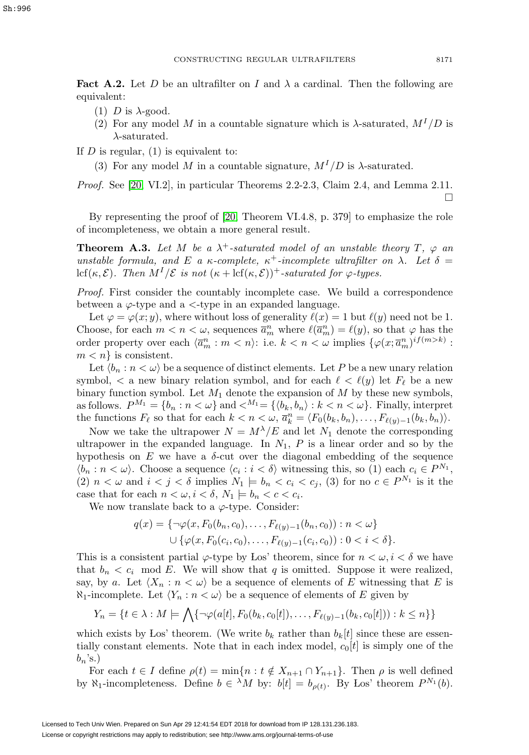<span id="page-32-0"></span>**Fact A.2.** Let D be an ultrafilter on I and  $\lambda$  a cardinal. Then the following are equivalent:

- (1) D is  $\lambda$ -good.
- (2) For any model M in a countable signature which is  $\lambda$ -saturated,  $M^{1}/D$  is  $\lambda$ -saturated.

If  $D$  is regular,  $(1)$  is equivalent to:

(3) For any model M in a countable signature,  $M^{I}/D$  is  $\lambda$ -saturated.

Proof. See [\[20,](#page-34-5) VI.2], in particular Theorems 2.2-2.3, Claim 2.4, and Lemma 2.11.  $\Box$ 

By representing the proof of [\[20,](#page-34-5) Theorem VI.4.8, p. 379] to emphasize the role of incompleteness, we obtain a more general result.

<span id="page-32-1"></span>**Theorem A.3.** Let M be a  $\lambda^+$ -saturated model of an unstable theory  $T$ ,  $\varphi$  and unstable formula, and E a  $\kappa$ -complete,  $\kappa^+$ -incomplete ultrafilter on  $\lambda$ . Let  $\delta$  = lcf(κ,  $\mathcal{E}$ ). Then  $M^I/\mathcal{E}$  is not  $(\kappa + \text{lcf}(\kappa, \mathcal{E}))^+$ -saturated for  $\varphi$ -types.

Proof. First consider the countably incomplete case. We build a correspondence between a  $\varphi$ -type and a  $\lt$ -type in an expanded language.

Let  $\varphi = \varphi(x; y)$ , where without loss of generality  $\ell(x) = 1$  but  $\ell(y)$  need not be 1. Choose, for each  $m < n < \omega$ , sequences  $\overline{a}_{m}^{n}$  where  $\ell(\overline{a}_{m}^{n}) = \ell(y)$ , so that  $\varphi$  has the order property over each  $\langle \overline{a}_m^n : m < n \rangle$ : i.e.  $k < n < \omega$  implies  $\{ \varphi(x; \overline{a}_m^n)^{if(m > k)} :$  $m < n$  is consistent.

Let  $\langle b_n : n \langle \omega \rangle$  be a sequence of distinct elements. Let P be a new unary relation symbol,  $\langle$  a new binary relation symbol, and for each  $\ell \langle \ell(y) \rangle$  let  $F_{\ell}$  be a new binary function symbol. Let  $M_1$  denote the expansion of  $M$  by these new symbols, as follows.  $P^{M_1} = \{b_n : n < \omega\}$  and  $\langle M_1 = \{b_k, b_n : k < n < \omega\}$ . Finally, interpret the functions  $F_{\ell}$  so that for each  $k < n < \omega$ ,  $\overline{a}_k^n = \langle F_0(b_k, b_n), \ldots, F_{\ell(y)-1}(b_k, b_n) \rangle$ .

Now we take the ultrapower  $N = M^{\lambda}/E$  and let  $N_1$  denote the corresponding ultrapower in the expanded language. In  $N_1$ ,  $P$  is a linear order and so by the hypothesis on  $E$  we have a  $\delta$ -cut over the diagonal embedding of the sequence  $\langle b_n : n < \omega \rangle$ . Choose a sequence  $\langle c_i : i < \delta \rangle$  witnessing this, so (1) each  $c_i \in P^{N_1}$ , (2)  $n < \omega$  and  $i < j < \delta$  implies  $N_1 \models b_n < c_i < c_j$ , (3) for no  $c \in P^{N_1}$  is it the case that for each  $n < \omega, i < \delta, N_1 \models b_n < c < c_i$ .

We now translate back to a  $\varphi$ -type. Consider:

$$
q(x) = \{ \neg \varphi(x, F_0(b_n, c_0), \dots, F_{\ell(y)-1}(b_n, c_0)) : n < \omega \}
$$
  
 
$$
\cup \{ \varphi(x, F_0(c_i, c_0), \dots, F_{\ell(y)-1}(c_i, c_0)) : 0 < i < \delta \}.
$$

This is a consistent partial  $\varphi$ -type by Los' theorem, since for  $n < \omega, i < \delta$  we have that  $b_n < c_i$  mod E. We will show that q is omitted. Suppose it were realized, say, by a. Let  $\langle X_n : n \langle \omega \rangle$  be a sequence of elements of E witnessing that E is  $\aleph_1$ -incomplete. Let  $\langle Y_n : n \langle \omega \rangle$  be a sequence of elements of E given by

$$
Y_n = \{t \in \lambda : M \models \bigwedge \{\neg \varphi(a[t], F_0(b_k, c_0[t]), \dots, F_{\ell(y)-1}(b_k, c_0[t])): k \leq n\}\}\
$$

which exists by Los' theorem. (We write  $b_k$  rather than  $b_k[t]$  since these are essentially constant elements. Note that in each index model,  $c_0[t]$  is simply one of the  $b_n$ 's.)

For each  $t \in I$  define  $\rho(t) = \min\{n : t \notin X_{n+1} \cap Y_{n+1}\}.$  Then  $\rho$  is well defined by  $\aleph_1$ -incompleteness. Define  $b \in {}^{\lambda}M$  by:  $b[t] = b_{\rho(t)}$ . By Los' theorem  $P^{N_1}(b)$ .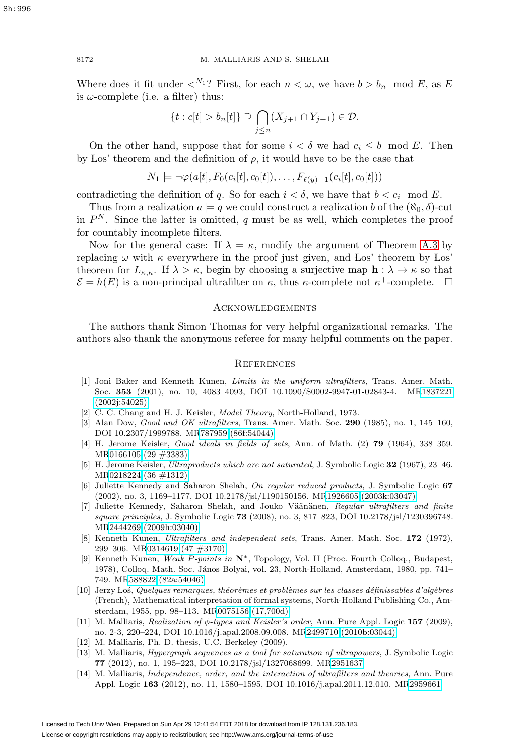Where does it fit under  $\langle N_1 \rangle$ ? First, for each  $n \langle \omega, w \rangle$  have  $b > b_n \mod E$ , as E is  $\omega$ -complete (i.e. a filter) thus:

$$
\{t : c[t] > b_n[t]\} \supseteq \bigcap_{j \leq n} (X_{j+1} \cap Y_{j+1}) \in \mathcal{D}.
$$

On the other hand, suppose that for some  $i < \delta$  we had  $c_i \leq b \mod E$ . Then by Los' theorem and the definition of  $\rho$ , it would have to be the case that

$$
N_1 \models \neg \varphi(a[t], F_0(c_i[t], c_0[t]), \dots, F_{\ell(y)-1}(c_i[t], c_0[t]))
$$

contradicting the definition of q. So for each  $i < \delta$ , we have that  $b < c_i$  mod E.

Thus from a realization  $a \models q$  we could construct a realization b of the  $(\aleph_0, \delta)$ -cut in  $P<sup>N</sup>$ . Since the latter is omitted, q must be as well, which completes the proof for countably incomplete filters.

Now for the general case: If  $\lambda = \kappa$ , modify the argument of Theorem [A.3](#page-32-1) by replacing  $\omega$  with  $\kappa$  everywhere in the proof just given, and Los' theorem by Los' theorem for  $L_{\kappa,\kappa}$ . If  $\lambda > \kappa$ , begin by choosing a surjective map  $\mathbf{h} : \lambda \to \kappa$  so that  $\mathcal{E} = h(E)$  is a non-principal ultrafilter on  $\kappa$ , thus  $\kappa$ -complete not  $\kappa^+$ -complete.  $\Box$ 

## <span id="page-33-0"></span>**ACKNOWLEDGEMENTS**

The authors thank Simon Thomas for very helpful organizational remarks. The authors also thank the anonymous referee for many helpful comments on the paper.

#### <span id="page-33-1"></span>**REFERENCES**

- <span id="page-33-8"></span>[1] Joni Baker and Kenneth Kunen, Limits in the uniform ultrafilters, Trans. Amer. Math. Soc. **353** (2001), no. 10, 4083–4093, DOI 10.1090/S0002-9947-01-02843-4. M[R1837221](http://www.ams.org/mathscinet-getitem?mr=1837221) [\(2002j:54025\)](http://www.ams.org/mathscinet-getitem?mr=1837221)
- <span id="page-33-10"></span>[2] C. C. Chang and H. J. Keisler, *Model Theory*, North-Holland, 1973.
- <span id="page-33-7"></span>[3] Alan Dow, Good and OK ultrafilters, Trans. Amer. Math. Soc. **290** (1985), no. 1, 145–160, DOI 10.2307/1999788. M[R787959 \(86f:54044\)](http://www.ams.org/mathscinet-getitem?mr=787959)
- <span id="page-33-5"></span>[4] H. Jerome Keisler, Good ideals in fields of sets, Ann. of Math. (2) **79** (1964), 338–359. M[R0166105 \(29 #3383\)](http://www.ams.org/mathscinet-getitem?mr=0166105)
- <span id="page-33-11"></span>[5] H. Jerome Keisler, Ultraproducts which are not saturated, J. Symbolic Logic **32** (1967), 23–46. M[R0218224 \(36 #1312\)](http://www.ams.org/mathscinet-getitem?mr=0218224)
- <span id="page-33-13"></span>[6] Juliette Kennedy and Saharon Shelah, On regular reduced products, J. Symbolic Logic **67** (2002), no. 3, 1169–1177, DOI 10.2178/jsl/1190150156. M[R1926605 \(2003k:03047\)](http://www.ams.org/mathscinet-getitem?mr=1926605)
- <span id="page-33-12"></span>[7] Juliette Kennedy, Saharon Shelah, and Jouko Väänänen, Regular ultrafilters and finite square principles, J. Symbolic Logic **73** (2008), no. 3, 817–823, DOI 10.2178/jsl/1230396748. M[R2444269 \(2009h:03040\)](http://www.ams.org/mathscinet-getitem?mr=2444269)
- [8] Kenneth Kunen, Ultrafilters and independent sets, Trans. Amer. Math. Soc. **172** (1972), 299–306. M[R0314619 \(47 #3170\)](http://www.ams.org/mathscinet-getitem?mr=0314619)
- <span id="page-33-6"></span>[9] Kenneth Kunen, Weak P-points in **N**∗, Topology, Vol. II (Proc. Fourth Colloq., Budapest, 1978), Colloq. Math. Soc. János Bolyai, vol. 23, North-Holland, Amsterdam, 1980, pp. 741– 749. M[R588822 \(82a:54046\)](http://www.ams.org/mathscinet-getitem?mr=588822)
- [10] Jerzy Los, Quelques remarques, théorèmes et problèmes sur les classes définissables d'algèbres (French), Mathematical interpretation of formal systems, North-Holland Publishing Co., Amsterdam, 1955, pp. 98–113. M[R0075156 \(17,700d\)](http://www.ams.org/mathscinet-getitem?mr=0075156)
- <span id="page-33-4"></span>[11] M. Malliaris, Realization of φ-types and Keisler's order, Ann. Pure Appl. Logic **157** (2009), no. 2-3, 220–224, DOI 10.1016/j.apal.2008.09.008. M[R2499710 \(2010b:03044\)](http://www.ams.org/mathscinet-getitem?mr=2499710)
- <span id="page-33-2"></span>[12] M. Malliaris, Ph. D. thesis, U.C. Berkeley (2009).
- <span id="page-33-9"></span>[13] M. Malliaris, Hypergraph sequences as a tool for saturation of ultrapowers, J. Symbolic Logic **77** (2012), no. 1, 195–223, DOI 10.2178/jsl/1327068699. M[R2951637](http://www.ams.org/mathscinet-getitem?mr=2951637)
- <span id="page-33-3"></span>[14] M. Malliaris, Independence, order, and the interaction of ultrafilters and theories, Ann. Pure Appl. Logic **163** (2012), no. 11, 1580–1595, DOI 10.1016/j.apal.2011.12.010. M[R2959661](http://www.ams.org/mathscinet-getitem?mr=2959661)